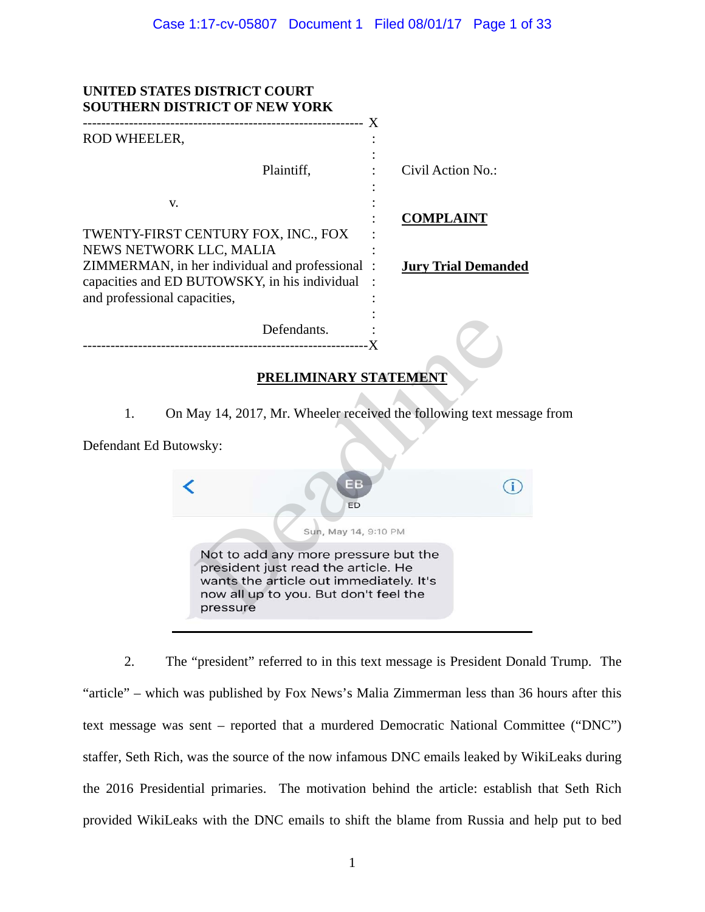| UNITED STATES DISTRICT COURT<br><b>SOUTHERN DISTRICT OF NEW YORK</b>                                                                                                                              |                            |
|---------------------------------------------------------------------------------------------------------------------------------------------------------------------------------------------------|----------------------------|
| ROD WHEELER,                                                                                                                                                                                      |                            |
| Plaintiff,                                                                                                                                                                                        | Civil Action No.:          |
| V.                                                                                                                                                                                                | <b>COMPLAINT</b>           |
| TWENTY-FIRST CENTURY FOX, INC., FOX<br>NEWS NETWORK LLC, MALIA<br>ZIMMERMAN, in her individual and professional:<br>capacities and ED BUTOWSKY, in his individual<br>and professional capacities, | <b>Jury Trial Demanded</b> |
| Defendants.                                                                                                                                                                                       |                            |
| PRELIMINARY STATEMENT                                                                                                                                                                             |                            |
| On May 14, 2017, Mr. Wheeler received the following text message from<br>1.                                                                                                                       |                            |
| Defendant Ed Butowsky:                                                                                                                                                                            |                            |
| EВ<br>ED                                                                                                                                                                                          |                            |
| Sun, May 14, 9:10 PM                                                                                                                                                                              |                            |
| Not to add any more pressure but the<br>president just read the article. He<br>wants the article out immediately. It's<br>now all up to you. But don't feel the<br>pressure                       |                            |

2. The "president" referred to in this text message is President Donald Trump. The "article" – which was published by Fox News's Malia Zimmerman less than 36 hours after this text message was sent – reported that a murdered Democratic National Committee ("DNC") staffer, Seth Rich, was the source of the now infamous DNC emails leaked by WikiLeaks during the 2016 Presidential primaries. The motivation behind the article: establish that Seth Rich provided WikiLeaks with the DNC emails to shift the blame from Russia and help put to bed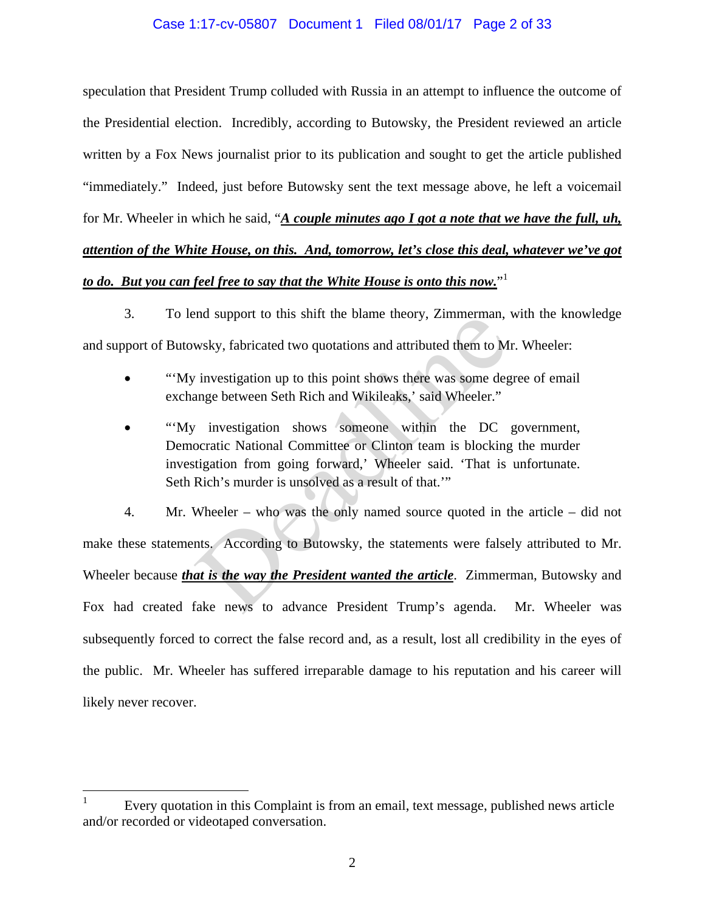## Case 1:17-cv-05807 Document 1 Filed 08/01/17 Page 2 of 33

speculation that President Trump colluded with Russia in an attempt to influence the outcome of the Presidential election. Incredibly, according to Butowsky, the President reviewed an article written by a Fox News journalist prior to its publication and sought to get the article published "immediately." Indeed, just before Butowsky sent the text message above, he left a voicemail for Mr. Wheeler in which he said, "*A couple minutes ago I got a note that we have the full, uh, attention of the White House, on this. And, tomorrow, let's close this deal, whatever we've got to do. But you can feel free to say that the White House is onto this now.*" 1

3. To lend support to this shift the blame theory, Zimmerman, with the knowledge and support of Butowsky, fabricated two quotations and attributed them to Mr. Wheeler:

- ""My investigation up to this point shows there was some degree of email exchange between Seth Rich and Wikileaks,' said Wheeler."
- "'My investigation shows someone within the DC government, Democratic National Committee or Clinton team is blocking the murder investigation from going forward,' Wheeler said. 'That is unfortunate. Seth Rich's murder is unsolved as a result of that.'"

4. Mr. Wheeler – who was the only named source quoted in the article – did not make these statements. According to Butowsky, the statements were falsely attributed to Mr. Wheeler because *that is the way the President wanted the article*. Zimmerman, Butowsky and Fox had created fake news to advance President Trump's agenda. Mr. Wheeler was subsequently forced to correct the false record and, as a result, lost all credibility in the eyes of the public. Mr. Wheeler has suffered irreparable damage to his reputation and his career will likely never recover. Ind support to this sint the branne theory, Zinhierman,<br>wsky, fabricated two quotations and attributed them to M.<br>investigation up to this point shows there was some deg<br>ange between Seth Rich and Wikileaks,' said Wheeler.

<sup>1</sup> Every quotation in this Complaint is from an email, text message, published news article and/or recorded or videotaped conversation.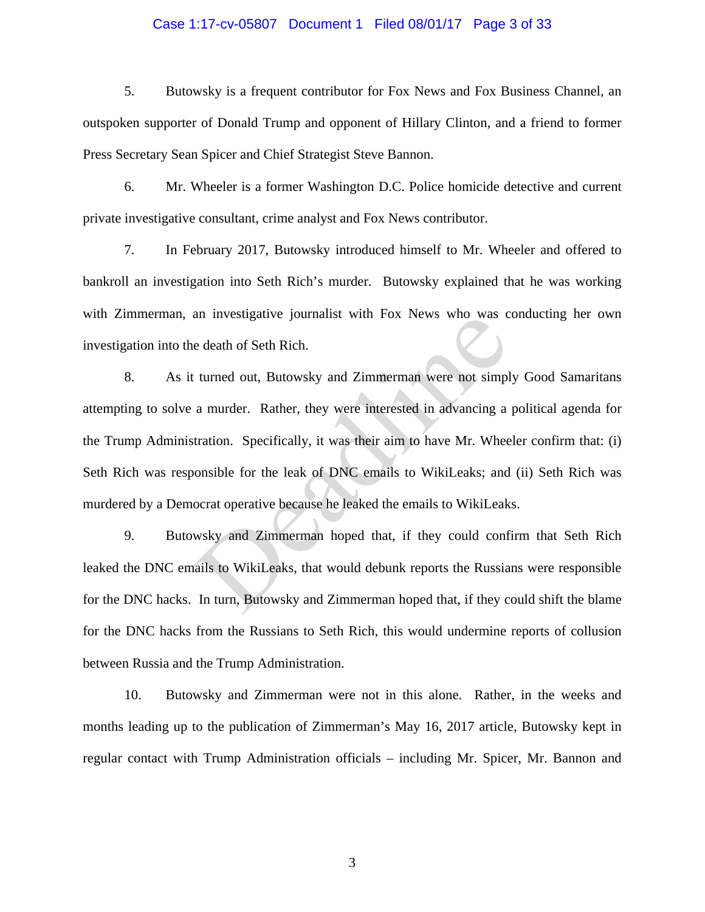### Case 1:17-cv-05807 Document 1 Filed 08/01/17 Page 3 of 33

5. Butowsky is a frequent contributor for Fox News and Fox Business Channel, an outspoken supporter of Donald Trump and opponent of Hillary Clinton, and a friend to former Press Secretary Sean Spicer and Chief Strategist Steve Bannon.

6. Mr. Wheeler is a former Washington D.C. Police homicide detective and current private investigative consultant, crime analyst and Fox News contributor.

7. In February 2017, Butowsky introduced himself to Mr. Wheeler and offered to bankroll an investigation into Seth Rich's murder. Butowsky explained that he was working with Zimmerman, an investigative journalist with Fox News who was conducting her own investigation into the death of Seth Rich.

8. As it turned out, Butowsky and Zimmerman were not simply Good Samaritans attempting to solve a murder. Rather, they were interested in advancing a political agenda for the Trump Administration. Specifically, it was their aim to have Mr. Wheeler confirm that: (i) Seth Rich was responsible for the leak of DNC emails to WikiLeaks; and (ii) Seth Rich was murdered by a Democrat operative because he leaked the emails to WikiLeaks. an investigative journalist with Fox News wife was c<br>e death of Seth Rich.<br>turned out, Butowsky and Zimmerman were not simpl<br>a murder. Rather, they were interested in advancing a<br>tration. Specifically, it was their aim to

9. Butowsky and Zimmerman hoped that, if they could confirm that Seth Rich leaked the DNC emails to WikiLeaks, that would debunk reports the Russians were responsible for the DNC hacks. In turn, Butowsky and Zimmerman hoped that, if they could shift the blame for the DNC hacks from the Russians to Seth Rich, this would undermine reports of collusion between Russia and the Trump Administration.

10. Butowsky and Zimmerman were not in this alone. Rather, in the weeks and months leading up to the publication of Zimmerman's May 16, 2017 article, Butowsky kept in regular contact with Trump Administration officials – including Mr. Spicer, Mr. Bannon and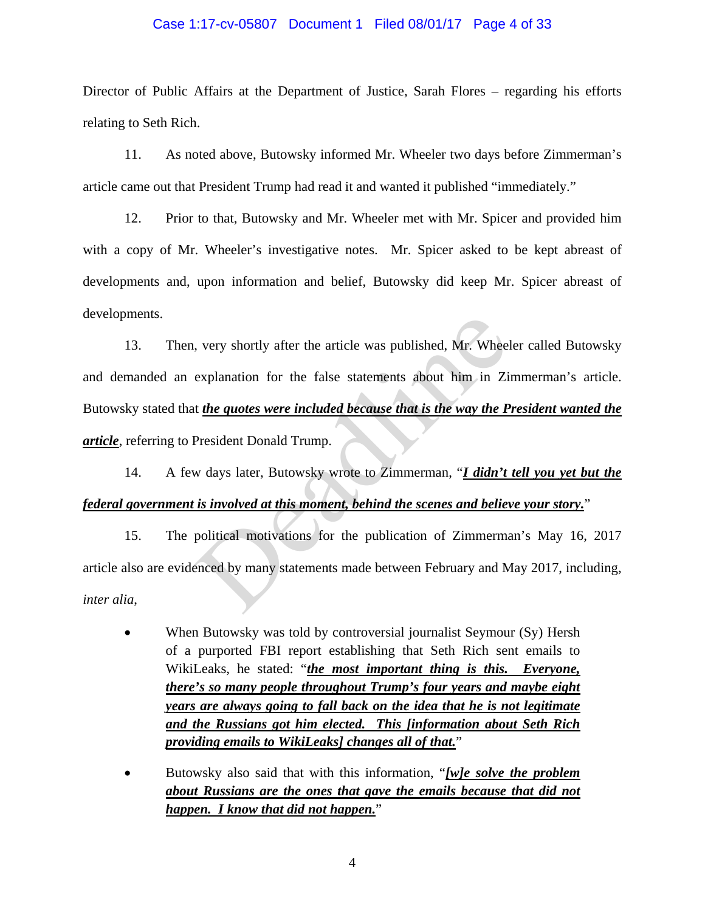### Case 1:17-cv-05807 Document 1 Filed 08/01/17 Page 4 of 33

Director of Public Affairs at the Department of Justice, Sarah Flores – regarding his efforts relating to Seth Rich.

11. As noted above, Butowsky informed Mr. Wheeler two days before Zimmerman's article came out that President Trump had read it and wanted it published "immediately."

12. Prior to that, Butowsky and Mr. Wheeler met with Mr. Spicer and provided him with a copy of Mr. Wheeler's investigative notes. Mr. Spicer asked to be kept abreast of developments and, upon information and belief, Butowsky did keep Mr. Spicer abreast of developments.

13. Then, very shortly after the article was published, Mr. Wheeler called Butowsky and demanded an explanation for the false statements about him in Zimmerman's article. Butowsky stated that *the quotes were included because that is the way the President wanted the article*, referring to President Donald Trump. , very shortly after the article was published, Mr. Wheel<br>explanation for the false statements about him in Zi<br>t the quotes were included because that is the way the P<br>President Donald Trump.<br>w days later, Butowsky wrote

14. A few days later, Butowsky wrote to Zimmerman, "*I didn't tell you yet but the federal government is involved at this moment, behind the scenes and believe your story.*"

15. The political motivations for the publication of Zimmerman's May 16, 2017 article also are evidenced by many statements made between February and May 2017, including, *inter alia*,

- When Butowsky was told by controversial journalist Seymour (Sy) Hersh of a purported FBI report establishing that Seth Rich sent emails to WikiLeaks, he stated: "*the most important thing is this. Everyone, there's so many people throughout Trump's four years and maybe eight years are always going to fall back on the idea that he is not legitimate and the Russians got him elected. This [information about Seth Rich providing emails to WikiLeaks] changes all of that.*"
- Butowsky also said that with this information, "*[w]e solve the problem about Russians are the ones that gave the emails because that did not happen. I know that did not happen.*"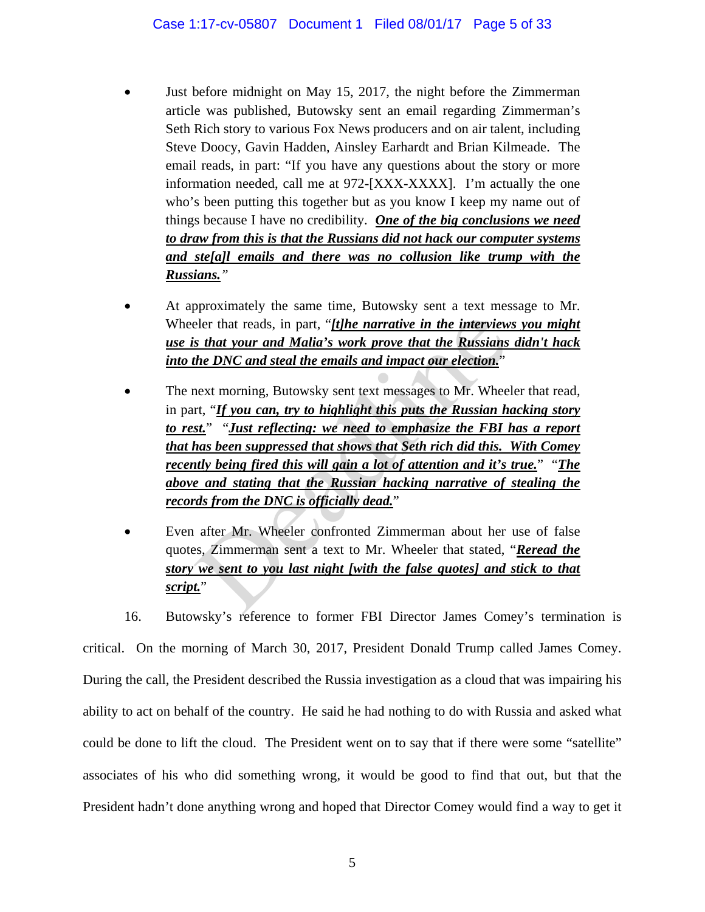- Just before midnight on May 15, 2017, the night before the Zimmerman article was published, Butowsky sent an email regarding Zimmerman's Seth Rich story to various Fox News producers and on air talent, including Steve Doocy, Gavin Hadden, Ainsley Earhardt and Brian Kilmeade. The email reads, in part: "If you have any questions about the story or more information needed, call me at 972-[XXX-XXXX]. I'm actually the one who's been putting this together but as you know I keep my name out of things because I have no credibility. *One of the big conclusions we need to draw from this is that the Russians did not hack our computer systems and ste[a]l emails and there was no collusion like trump with the Russians."*
- At approximately the same time, Butowsky sent a text message to Mr. Wheeler that reads, in part, "*[t]he narrative in the interviews you might use is that your and Malia's work prove that the Russians didn't hack into the DNC and steal the emails and impact our election.*"
- The next morning, Butowsky sent text messages to Mr. Wheeler that read, in part, "*If you can, try to highlight this puts the Russian hacking story to rest.*" "*Just reflecting: we need to emphasize the FBI has a report that has been suppressed that shows that Seth rich did this. With Comey recently being fired this will gain a lot of attention and it's true.*" "*The above and stating that the Russian hacking narrative of stealing the records from the DNC is officially dead.*" eler that reads, in part, "*<u>Ithe narrative in the interview</u>*<br>s that your and Malia's work prove that the Russians<br>the DNC and steal the emails and impact our election."<br>next morning, Butowsky sent text messages to Mr. Wh
- Even after Mr. Wheeler confronted Zimmerman about her use of false quotes, Zimmerman sent a text to Mr. Wheeler that stated, "*Reread the story we sent to you last night [with the false quotes] and stick to that script.*"

16. Butowsky's reference to former FBI Director James Comey's termination is critical. On the morning of March 30, 2017, President Donald Trump called James Comey. During the call, the President described the Russia investigation as a cloud that was impairing his ability to act on behalf of the country. He said he had nothing to do with Russia and asked what could be done to lift the cloud. The President went on to say that if there were some "satellite" associates of his who did something wrong, it would be good to find that out, but that the President hadn't done anything wrong and hoped that Director Comey would find a way to get it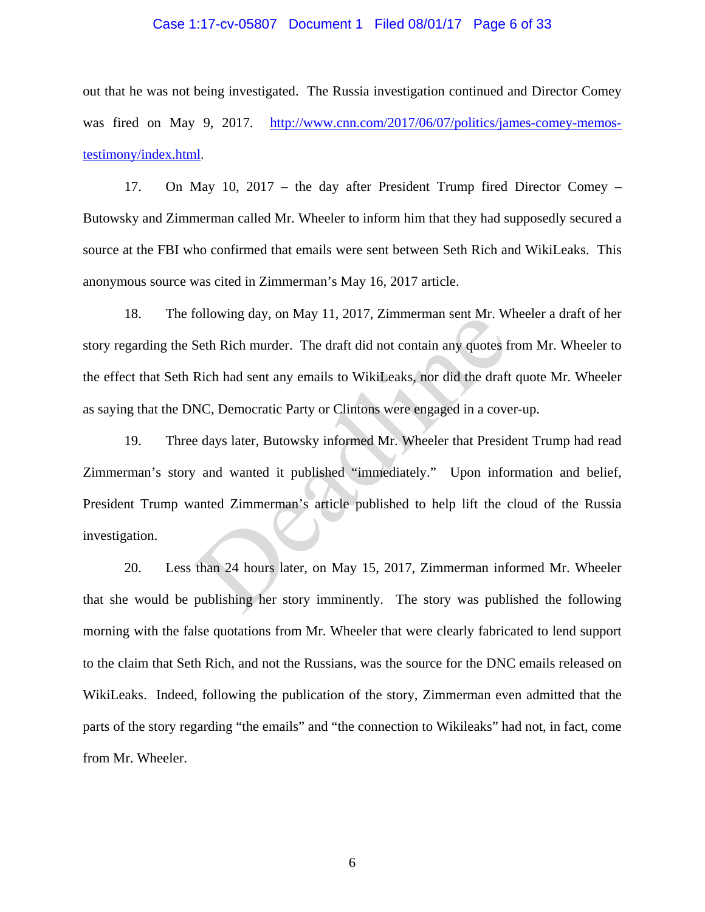### Case 1:17-cv-05807 Document 1 Filed 08/01/17 Page 6 of 33

out that he was not being investigated. The Russia investigation continued and Director Comey was fired on May 9, 2017. http://www.cnn.com/2017/06/07/politics/james-comey-memostestimony/index.html.

17. On May 10, 2017 – the day after President Trump fired Director Comey – Butowsky and Zimmerman called Mr. Wheeler to inform him that they had supposedly secured a source at the FBI who confirmed that emails were sent between Seth Rich and WikiLeaks. This anonymous source was cited in Zimmerman's May 16, 2017 article.

18. The following day, on May 11, 2017, Zimmerman sent Mr. Wheeler a draft of her story regarding the Seth Rich murder. The draft did not contain any quotes from Mr. Wheeler to the effect that Seth Rich had sent any emails to WikiLeaks, nor did the draft quote Mr. Wheeler as saying that the DNC, Democratic Party or Clintons were engaged in a cover-up.

19. Three days later, Butowsky informed Mr. Wheeler that President Trump had read Zimmerman's story and wanted it published "immediately." Upon information and belief, President Trump wanted Zimmerman's article published to help lift the cloud of the Russia investigation. Seth Rich murder. The draft did not contain any quotes f<br>Rich had sent any emails to WikiLeaks, nor did the draft<br>NC, Democratic Party or Clintons were engaged in a cove<br>e days later, Butowsky informed Mr. Wheeler that Pre

20. Less than 24 hours later, on May 15, 2017, Zimmerman informed Mr. Wheeler that she would be publishing her story imminently. The story was published the following morning with the false quotations from Mr. Wheeler that were clearly fabricated to lend support to the claim that Seth Rich, and not the Russians, was the source for the DNC emails released on WikiLeaks. Indeed, following the publication of the story, Zimmerman even admitted that the parts of the story regarding "the emails" and "the connection to Wikileaks" had not, in fact, come from Mr. Wheeler.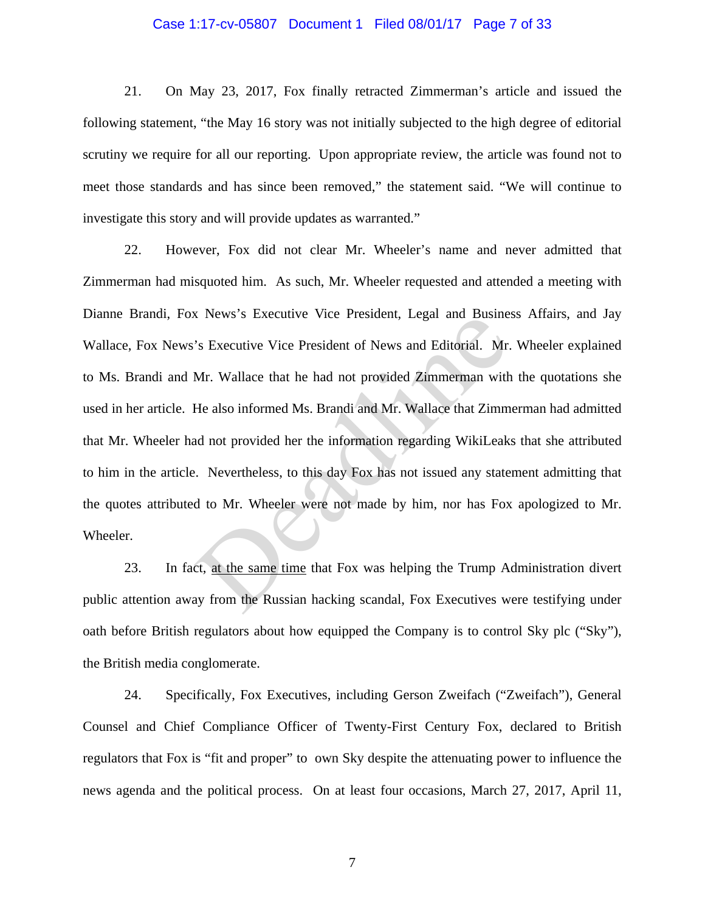### Case 1:17-cv-05807 Document 1 Filed 08/01/17 Page 7 of 33

21. On May 23, 2017, Fox finally retracted Zimmerman's article and issued the following statement, "the May 16 story was not initially subjected to the high degree of editorial scrutiny we require for all our reporting. Upon appropriate review, the article was found not to meet those standards and has since been removed," the statement said. "We will continue to investigate this story and will provide updates as warranted."

22. However, Fox did not clear Mr. Wheeler's name and never admitted that Zimmerman had misquoted him. As such, Mr. Wheeler requested and attended a meeting with Dianne Brandi, Fox News's Executive Vice President, Legal and Business Affairs, and Jay Wallace, Fox News's Executive Vice President of News and Editorial. Mr. Wheeler explained to Ms. Brandi and Mr. Wallace that he had not provided Zimmerman with the quotations she used in her article. He also informed Ms. Brandi and Mr. Wallace that Zimmerman had admitted that Mr. Wheeler had not provided her the information regarding WikiLeaks that she attributed to him in the article. Nevertheless, to this day Fox has not issued any statement admitting that the quotes attributed to Mr. Wheeler were not made by him, nor has Fox apologized to Mr. Wheeler. Solutive Vice President, Legar and Busine<br>
Solutive Vice President of News and Editorial. Mr.<br>
Mr. Wallace that he had not provided Zimmerman with<br>
He also informed Ms. Brandi and Mr. Wallace that Zimm<br>
and not provided he

23. In fact, at the same time that Fox was helping the Trump Administration divert public attention away from the Russian hacking scandal, Fox Executives were testifying under oath before British regulators about how equipped the Company is to control Sky plc ("Sky"), the British media conglomerate.

24. Specifically, Fox Executives, including Gerson Zweifach ("Zweifach"), General Counsel and Chief Compliance Officer of Twenty-First Century Fox, declared to British regulators that Fox is "fit and proper" to own Sky despite the attenuating power to influence the news agenda and the political process. On at least four occasions, March 27, 2017, April 11,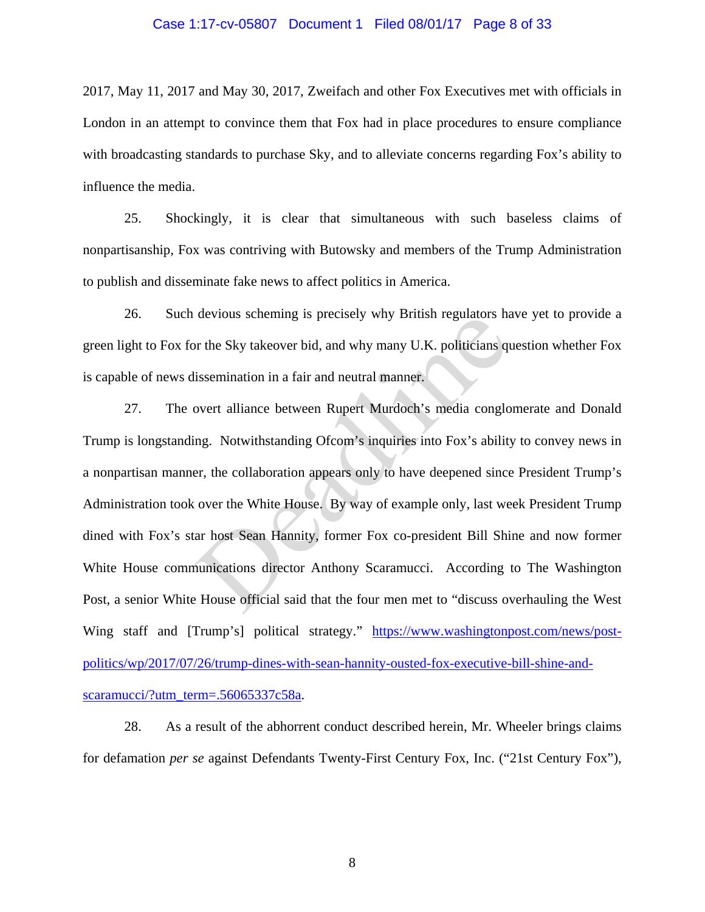### Case 1:17-cv-05807 Document 1 Filed 08/01/17 Page 8 of 33

2017, May 11, 2017 and May 30, 2017, Zweifach and other Fox Executives met with officials in London in an attempt to convince them that Fox had in place procedures to ensure compliance with broadcasting standards to purchase Sky, and to alleviate concerns regarding Fox's ability to influence the media.

25. Shockingly, it is clear that simultaneous with such baseless claims of nonpartisanship, Fox was contriving with Butowsky and members of the Trump Administration to publish and disseminate fake news to affect politics in America.

26. Such devious scheming is precisely why British regulators have yet to provide a green light to Fox for the Sky takeover bid, and why many U.K. politicians question whether Fox is capable of news dissemination in a fair and neutral manner.

27. The overt alliance between Rupert Murdoch's media conglomerate and Donald Trump is longstanding. Notwithstanding Ofcom's inquiries into Fox's ability to convey news in a nonpartisan manner, the collaboration appears only to have deepened since President Trump's Administration took over the White House. By way of example only, last week President Trump dined with Fox's star host Sean Hannity, former Fox co-president Bill Shine and now former White House communications director Anthony Scaramucci. According to The Washington Post, a senior White House official said that the four men met to "discuss overhauling the West Wing staff and [Trump's] political strategy." https://www.washingtonpost.com/news/postpolitics/wp/2017/07/26/trump-dines-with-sean-hannity-ousted-fox-executive-bill-shine-andscaramucci/?utm\_term=.56065337c58a. devious scheming is precisely why British regulators has a<br>provided a set of the Sky takeover bid, and why many U.K. politicians qui<br>ssemination in a fair and neutral manner.<br>overt alliance between Rupert Murdoch's media c

28. As a result of the abhorrent conduct described herein, Mr. Wheeler brings claims for defamation *per se* against Defendants Twenty-First Century Fox, Inc. ("21st Century Fox"),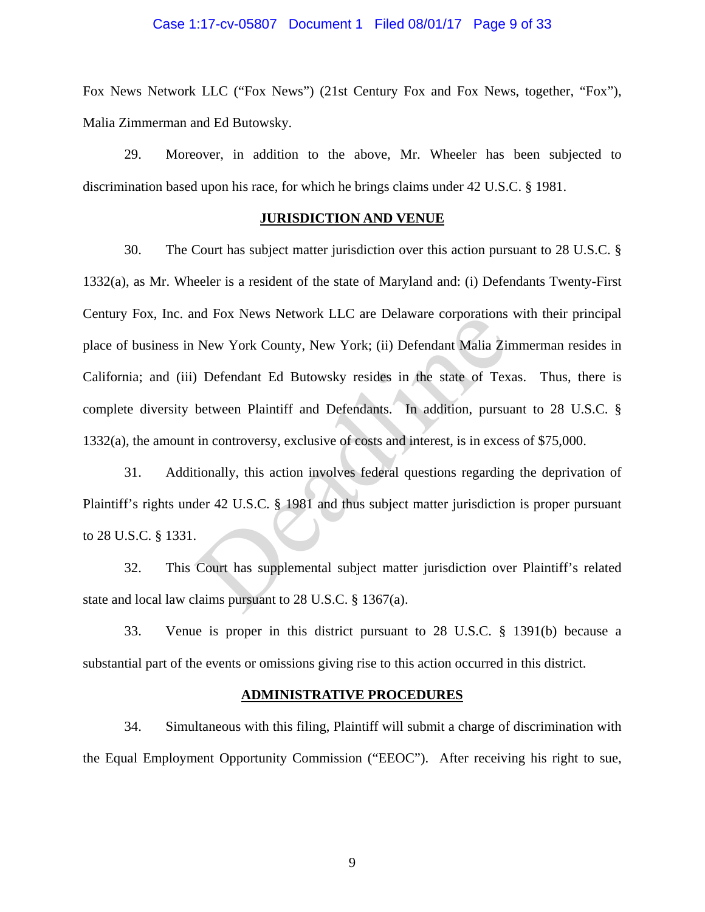### Case 1:17-cv-05807 Document 1 Filed 08/01/17 Page 9 of 33

Fox News Network LLC ("Fox News") (21st Century Fox and Fox News, together, "Fox"), Malia Zimmerman and Ed Butowsky.

29. Moreover, in addition to the above, Mr. Wheeler has been subjected to discrimination based upon his race, for which he brings claims under 42 U.S.C. § 1981.

### **JURISDICTION AND VENUE**

30. The Court has subject matter jurisdiction over this action pursuant to 28 U.S.C. § 1332(a), as Mr. Wheeler is a resident of the state of Maryland and: (i) Defendants Twenty-First Century Fox, Inc. and Fox News Network LLC are Delaware corporations with their principal place of business in New York County, New York; (ii) Defendant Malia Zimmerman resides in California; and (iii) Defendant Ed Butowsky resides in the state of Texas. Thus, there is complete diversity between Plaintiff and Defendants. In addition, pursuant to 28 U.S.C. § 1332(a), the amount in controversy, exclusive of costs and interest, is in excess of \$75,000. Ind Fox News Network LLC are Delaware corporations<br>New York County, New York; (ii) Defendant Malia Zir<br>Defendant Ed Butowsky resides in the state of Tex<br>between Plaintiff and Defendants. In addition, pursual<br>in controversy

31. Additionally, this action involves federal questions regarding the deprivation of Plaintiff's rights under 42 U.S.C. § 1981 and thus subject matter jurisdiction is proper pursuant to 28 U.S.C. § 1331.

32. This Court has supplemental subject matter jurisdiction over Plaintiff's related state and local law claims pursuant to 28 U.S.C. § 1367(a).

33. Venue is proper in this district pursuant to 28 U.S.C. § 1391(b) because a substantial part of the events or omissions giving rise to this action occurred in this district.

#### **ADMINISTRATIVE PROCEDURES**

34. Simultaneous with this filing, Plaintiff will submit a charge of discrimination with the Equal Employment Opportunity Commission ("EEOC"). After receiving his right to sue,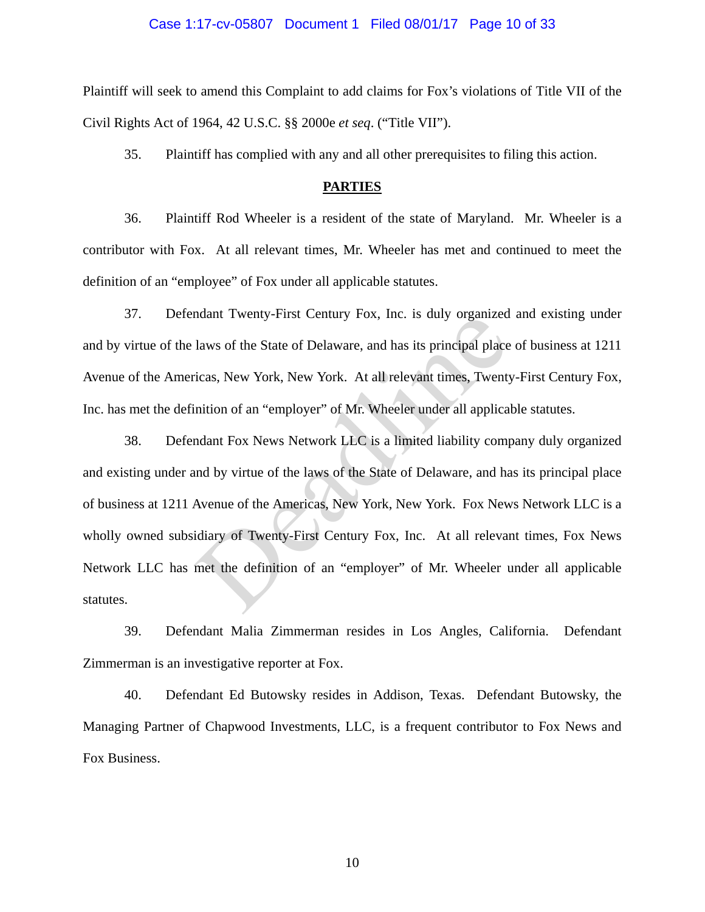### Case 1:17-cv-05807 Document 1 Filed 08/01/17 Page 10 of 33

Plaintiff will seek to amend this Complaint to add claims for Fox's violations of Title VII of the Civil Rights Act of 1964, 42 U.S.C. §§ 2000e *et seq*. ("Title VII").

35. Plaintiff has complied with any and all other prerequisites to filing this action.

#### **PARTIES**

36. Plaintiff Rod Wheeler is a resident of the state of Maryland. Mr. Wheeler is a contributor with Fox. At all relevant times, Mr. Wheeler has met and continued to meet the definition of an "employee" of Fox under all applicable statutes.

37. Defendant Twenty-First Century Fox, Inc. is duly organized and existing under and by virtue of the laws of the State of Delaware, and has its principal place of business at 1211 Avenue of the Americas, New York, New York. At all relevant times, Twenty-First Century Fox, Inc. has met the definition of an "employer" of Mr. Wheeler under all applicable statutes.

38. Defendant Fox News Network LLC is a limited liability company duly organized and existing under and by virtue of the laws of the State of Delaware, and has its principal place of business at 1211 Avenue of the Americas, New York, New York. Fox News Network LLC is a wholly owned subsidiary of Twenty-First Century Fox, Inc. At all relevant times, Fox News Network LLC has met the definition of an "employer" of Mr. Wheeler under all applicable statutes. hadant Twenty-First Century Fox, file. Is dury organized<br>laws of the State of Delaware, and has its principal place<br>icas, New York, New York. At all relevant times, Twenty<br>nition of an "employer" of Mr. Wheeler under all a

39. Defendant Malia Zimmerman resides in Los Angles, California. Defendant Zimmerman is an investigative reporter at Fox.

40. Defendant Ed Butowsky resides in Addison, Texas. Defendant Butowsky, the Managing Partner of Chapwood Investments, LLC, is a frequent contributor to Fox News and Fox Business.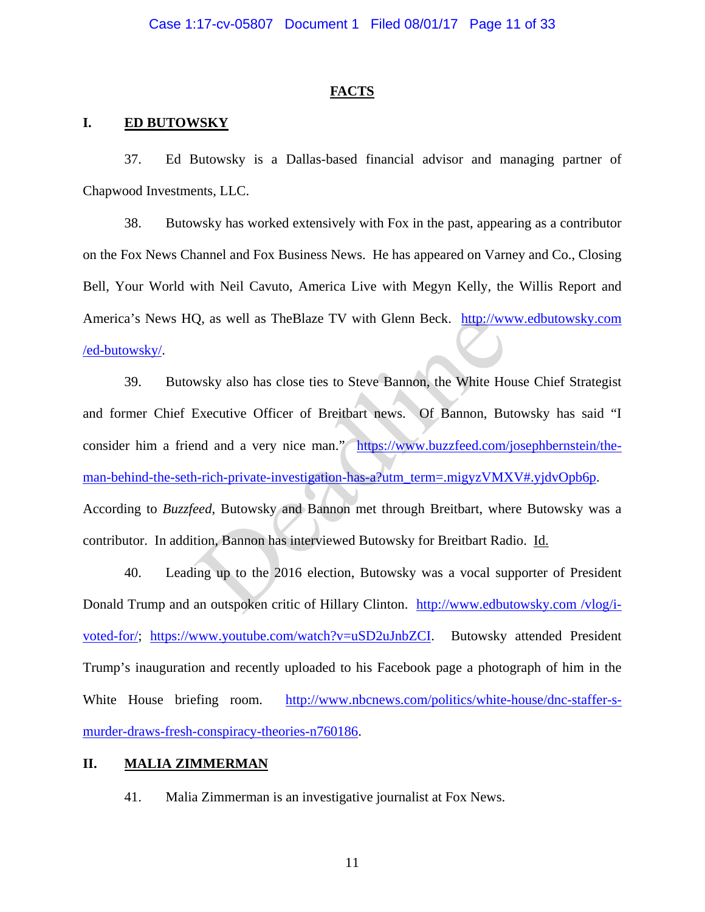#### **FACTS**

### **I. ED BUTOWSKY**

37. Ed Butowsky is a Dallas-based financial advisor and managing partner of Chapwood Investments, LLC.

38. Butowsky has worked extensively with Fox in the past, appearing as a contributor on the Fox News Channel and Fox Business News. He has appeared on Varney and Co., Closing Bell, Your World with Neil Cavuto, America Live with Megyn Kelly, the Willis Report and America's News HQ, as well as TheBlaze TV with Glenn Beck. http://www.edbutowsky.com /ed-butowsky/.

39. Butowsky also has close ties to Steve Bannon, the White House Chief Strategist and former Chief Executive Officer of Breitbart news. Of Bannon, Butowsky has said "I consider him a friend and a very nice man." https://www.buzzfeed.com/josephbernstein/theman-behind-the-seth-rich-private-investigation-has-a?utm\_term=.migyzVMXV#.yjdvOpb6p. According to *Buzzfeed*, Butowsky and Bannon met through Breitbart, where Butowsky was a contributor. In addition, Bannon has interviewed Butowsky for Breitbart Radio. Id. Q, as well as TheBlaze TV with Glenn Beck. http://www.<br>wsky also has close ties to Steve Bannon, the White Ho<br>Executive Officer of Breitbart news. Of Bannon, Bu<br>nd and a very nice man." https://www.buzzfeed.com/<br>n-rich-pri

40. Leading up to the 2016 election, Butowsky was a vocal supporter of President Donald Trump and an outspoken critic of Hillary Clinton. http://www.edbutowsky.com /vlog/ivoted-for/; https://www.youtube.com/watch?v=uSD2uJnbZCI. Butowsky attended President Trump's inauguration and recently uploaded to his Facebook page a photograph of him in the White House briefing room. http://www.nbcnews.com/politics/white-house/dnc-staffer-smurder-draws-fresh-conspiracy-theories-n760186.

### **II. MALIA ZIMMERMAN**

41. Malia Zimmerman is an investigative journalist at Fox News.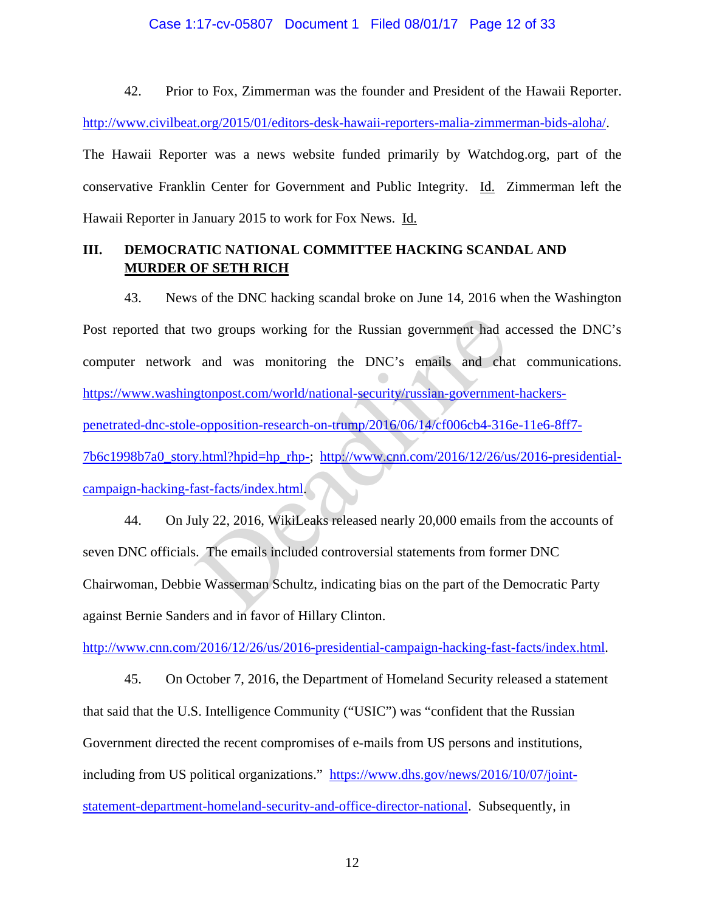### Case 1:17-cv-05807 Document 1 Filed 08/01/17 Page 12 of 33

42. Prior to Fox, Zimmerman was the founder and President of the Hawaii Reporter.

http://www.civilbeat.org/2015/01/editors-desk-hawaii-reporters-malia-zimmerman-bids-aloha/.

The Hawaii Reporter was a news website funded primarily by Watchdog.org, part of the conservative Franklin Center for Government and Public Integrity. Id. Zimmerman left the Hawaii Reporter in January 2015 to work for Fox News. Id.

# **III. DEMOCRATIC NATIONAL COMMITTEE HACKING SCANDAL AND MURDER OF SETH RICH**

43. News of the DNC hacking scandal broke on June 14, 2016 when the Washington Post reported that two groups working for the Russian government had accessed the DNC's computer network and was monitoring the DNC's emails and chat communications. https://www.washingtonpost.com/world/national-security/russian-government-hackerspenetrated-dnc-stole-opposition-research-on-trump/2016/06/14/cf006cb4-316e-11e6-8ff7- 7b6c1998b7a0\_story.html?hpid=hp\_rhp-; http://www.cnn.com/2016/12/26/us/2016-presidentialcampaign-hacking-fast-facts/index.html. wo groups working for the Russian government had a<br>and was monitoring the DNC's emails and cha<br>gtonpost.com/world/national-security/russian-governmen<br>--opposition-research-on-trump/2016/06/14/cf006cb4-316<br>y.html?hpid=hp\_rh

44. On July 22, 2016, WikiLeaks released nearly 20,000 emails from the accounts of seven DNC officials. The emails included controversial statements from former DNC Chairwoman, Debbie Wasserman Schultz, indicating bias on the part of the Democratic Party against Bernie Sanders and in favor of Hillary Clinton.

http://www.cnn.com/2016/12/26/us/2016-presidential-campaign-hacking-fast-facts/index.html.

45. On October 7, 2016, the Department of Homeland Security released a statement that said that the U.S. Intelligence Community ("USIC") was "confident that the Russian Government directed the recent compromises of e-mails from US persons and institutions, including from US political organizations." https://www.dhs.gov/news/2016/10/07/jointstatement-department-homeland-security-and-office-director-national. Subsequently, in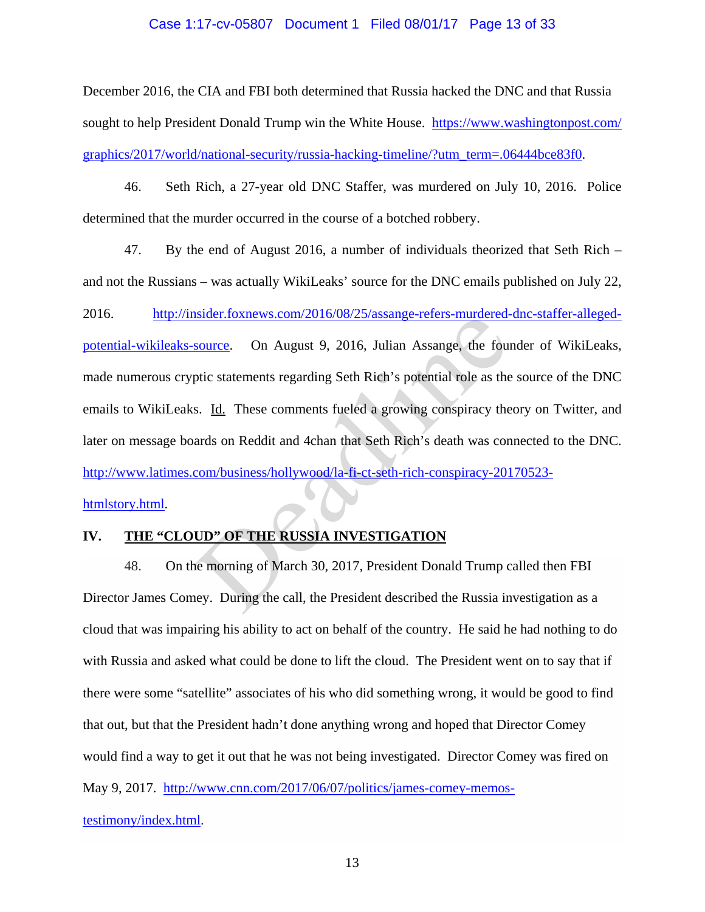### Case 1:17-cv-05807 Document 1 Filed 08/01/17 Page 13 of 33

December 2016, the CIA and FBI both determined that Russia hacked the DNC and that Russia sought to help President Donald Trump win the White House. https://www.washingtonpost.com/ graphics/2017/world/national-security/russia-hacking-timeline/?utm\_term=.06444bce83f0.

46. Seth Rich, a 27-year old DNC Staffer, was murdered on July 10, 2016. Police determined that the murder occurred in the course of a botched robbery.

47. By the end of August 2016, a number of individuals theorized that Seth Rich – and not the Russians – was actually WikiLeaks' source for the DNC emails published on July 22, 2016. http://insider.foxnews.com/2016/08/25/assange-refers-murdered-dnc-staffer-allegedpotential-wikileaks-source. On August 9, 2016, Julian Assange, the founder of WikiLeaks, made numerous cryptic statements regarding Seth Rich's potential role as the source of the DNC emails to WikiLeaks. Id. These comments fueled a growing conspiracy theory on Twitter, and later on message boards on Reddit and 4chan that Seth Rich's death was connected to the DNC. http://www.latimes.com/business/hollywood/la-fi-ct-seth-rich-conspiracy-20170523 htmlstory.html. Source. On August 9, 2016, Julian Assange-refers-indicated-<br>source. On August 9, 2016, Julian Assange, the fourtier<br>price statements regarding Seth Rich's potential role as the<br>s. Id. These comments fueled a growing conspi

# **IV. THE "CLOUD" OF THE RUSSIA INVESTIGATION**

48. On the morning of March 30, 2017, President Donald Trump called then FBI Director James Comey. During the call, the President described the Russia investigation as a cloud that was impairing his ability to act on behalf of the country. He said he had nothing to do with Russia and asked what could be done to lift the cloud. The President went on to say that if there were some "satellite" associates of his who did something wrong, it would be good to find that out, but that the President hadn't done anything wrong and hoped that Director Comey would find a way to get it out that he was not being investigated. Director Comey was fired on May 9, 2017. http://www.cnn.com/2017/06/07/politics/james-comey-memostestimony/index.html.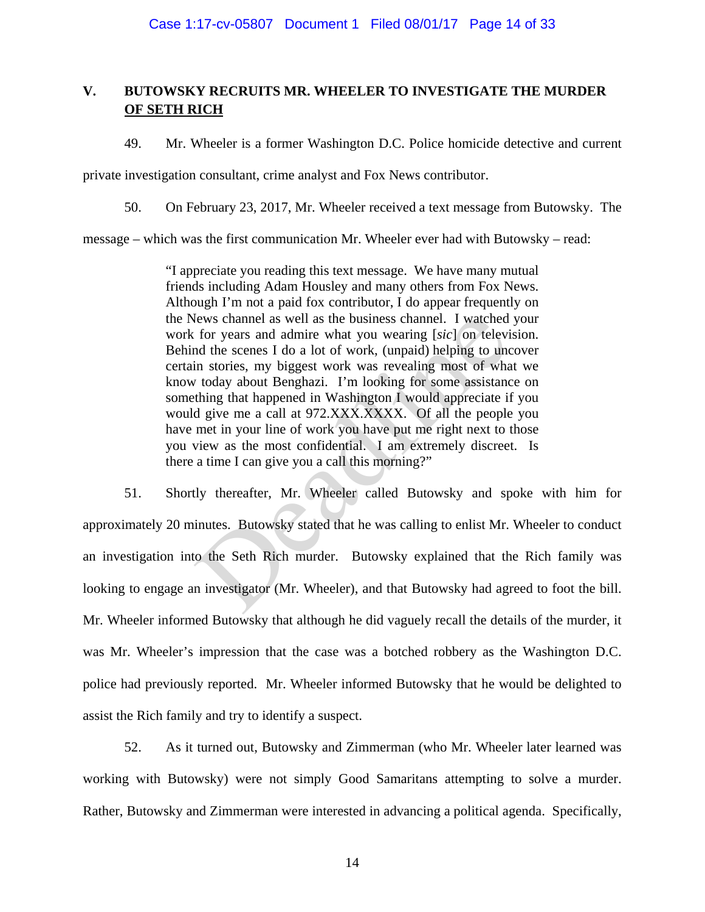# **V. BUTOWSKY RECRUITS MR. WHEELER TO INVESTIGATE THE MURDER OF SETH RICH**

49. Mr. Wheeler is a former Washington D.C. Police homicide detective and current

private investigation consultant, crime analyst and Fox News contributor.

50. On February 23, 2017, Mr. Wheeler received a text message from Butowsky. The

message – which was the first communication Mr. Wheeler ever had with Butowsky – read:

"I appreciate you reading this text message. We have many mutual friends including Adam Housley and many others from Fox News. Although I'm not a paid fox contributor, I do appear frequently on the News channel as well as the business channel. I watched your work for years and admire what you wearing [*sic*] on television. Behind the scenes I do a lot of work, (unpaid) helping to uncover certain stories, my biggest work was revealing most of what we know today about Benghazi. I'm looking for some assistance on something that happened in Washington I would appreciate if you would give me a call at 972.XXX.XXXX. Of all the people you have met in your line of work you have put me right next to those you view as the most confidential. I am extremely discreet. Is there a time I can give you a call this morning?" lews channel as well as the business channel. I watched<br>for years and admire what you wearing [sic] on televi<br>and the scenes I do a lot of work, (unpaid) helping to und<br>in stories, my biggest work was revealing most of wha

51. Shortly thereafter, Mr. Wheeler called Butowsky and spoke with him for approximately 20 minutes. Butowsky stated that he was calling to enlist Mr. Wheeler to conduct an investigation into the Seth Rich murder. Butowsky explained that the Rich family was looking to engage an investigator (Mr. Wheeler), and that Butowsky had agreed to foot the bill. Mr. Wheeler informed Butowsky that although he did vaguely recall the details of the murder, it was Mr. Wheeler's impression that the case was a botched robbery as the Washington D.C. police had previously reported. Mr. Wheeler informed Butowsky that he would be delighted to assist the Rich family and try to identify a suspect.

52. As it turned out, Butowsky and Zimmerman (who Mr. Wheeler later learned was working with Butowsky) were not simply Good Samaritans attempting to solve a murder. Rather, Butowsky and Zimmerman were interested in advancing a political agenda. Specifically,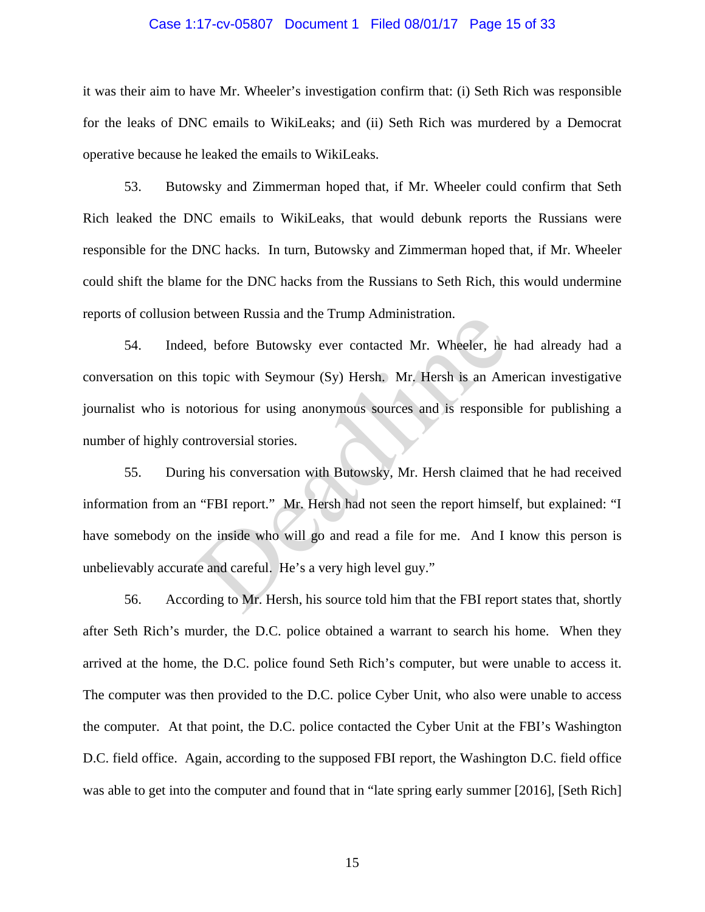## Case 1:17-cv-05807 Document 1 Filed 08/01/17 Page 15 of 33

it was their aim to have Mr. Wheeler's investigation confirm that: (i) Seth Rich was responsible for the leaks of DNC emails to WikiLeaks; and (ii) Seth Rich was murdered by a Democrat operative because he leaked the emails to WikiLeaks.

53. Butowsky and Zimmerman hoped that, if Mr. Wheeler could confirm that Seth Rich leaked the DNC emails to WikiLeaks, that would debunk reports the Russians were responsible for the DNC hacks. In turn, Butowsky and Zimmerman hoped that, if Mr. Wheeler could shift the blame for the DNC hacks from the Russians to Seth Rich, this would undermine reports of collusion between Russia and the Trump Administration.

54. Indeed, before Butowsky ever contacted Mr. Wheeler, he had already had a conversation on this topic with Seymour (Sy) Hersh. Mr. Hersh is an American investigative journalist who is notorious for using anonymous sources and is responsible for publishing a number of highly controversial stories.

55. During his conversation with Butowsky, Mr. Hersh claimed that he had received information from an "FBI report." Mr. Hersh had not seen the report himself, but explained: "I have somebody on the inside who will go and read a file for me. And I know this person is unbelievably accurate and careful. He's a very high level guy." between Russia and the Trump Administration.<br>Ed, before Butowsky ever contacted Mr. Wheeler, he<br>stopic with Seymour (Sy) Hersh. Mr. Hersh is an Am<br>otorious for using anonymous sources and is responsib<br>introversial stories.

56. According to Mr. Hersh, his source told him that the FBI report states that, shortly after Seth Rich's murder, the D.C. police obtained a warrant to search his home. When they arrived at the home, the D.C. police found Seth Rich's computer, but were unable to access it. The computer was then provided to the D.C. police Cyber Unit, who also were unable to access the computer. At that point, the D.C. police contacted the Cyber Unit at the FBI's Washington D.C. field office. Again, according to the supposed FBI report, the Washington D.C. field office was able to get into the computer and found that in "late spring early summer [2016], [Seth Rich]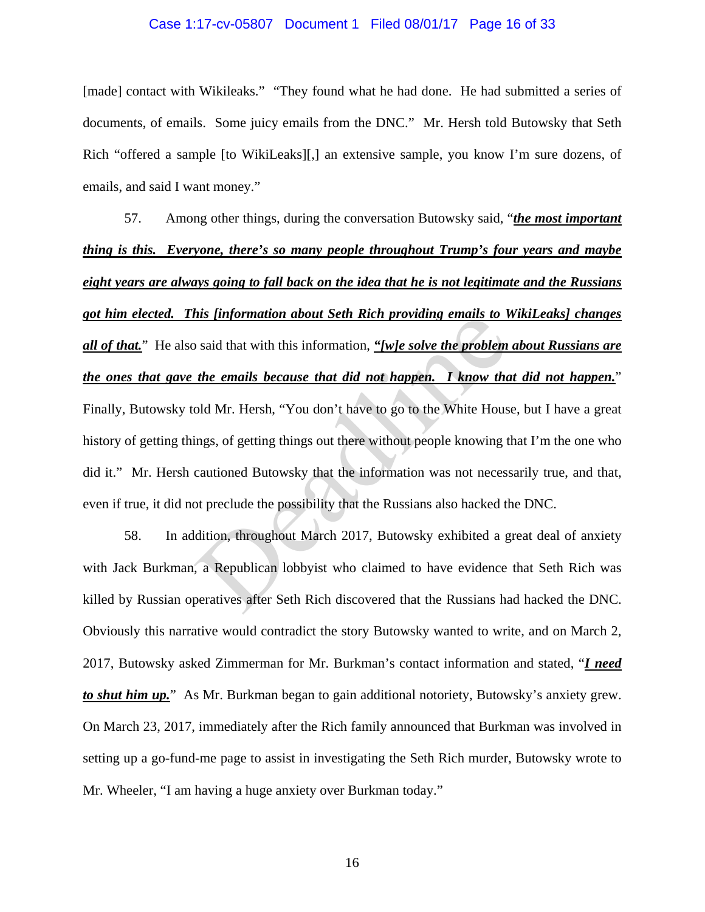#### Case 1:17-cv-05807 Document 1 Filed 08/01/17 Page 16 of 33

[made] contact with Wikileaks." "They found what he had done. He had submitted a series of documents, of emails. Some juicy emails from the DNC." Mr. Hersh told Butowsky that Seth Rich "offered a sample [to WikiLeaks][,] an extensive sample, you know I'm sure dozens, of emails, and said I want money."

57. Among other things, during the conversation Butowsky said, "*the most important thing is this. Everyone, there's so many people throughout Trump's four years and maybe eight years are always going to fall back on the idea that he is not legitimate and the Russians got him elected. This [information about Seth Rich providing emails to WikiLeaks] changes all of that.*" He also said that with this information, *"[w]e solve the problem about Russians are the ones that gave the emails because that did not happen. I know that did not happen.*" Finally, Butowsky told Mr. Hersh, "You don't have to go to the White House, but I have a great history of getting things, of getting things out there without people knowing that I'm the one who did it." Mr. Hersh cautioned Butowsky that the information was not necessarily true, and that, even if true, it did not preclude the possibility that the Russians also hacked the DNC. of the *emails because that did not happen. I know that emails because that did not happen. I know tha* old Mr. Hersh, "You don't have to go to the White Housings, of getting things out there without people knowing t

58. In addition, throughout March 2017, Butowsky exhibited a great deal of anxiety with Jack Burkman, a Republican lobbyist who claimed to have evidence that Seth Rich was killed by Russian operatives after Seth Rich discovered that the Russians had hacked the DNC. Obviously this narrative would contradict the story Butowsky wanted to write, and on March 2, 2017, Butowsky asked Zimmerman for Mr. Burkman's contact information and stated, "*I need to shut him up.*" As Mr. Burkman began to gain additional notoriety, Butowsky's anxiety grew. On March 23, 2017, immediately after the Rich family announced that Burkman was involved in setting up a go-fund-me page to assist in investigating the Seth Rich murder, Butowsky wrote to Mr. Wheeler, "I am having a huge anxiety over Burkman today."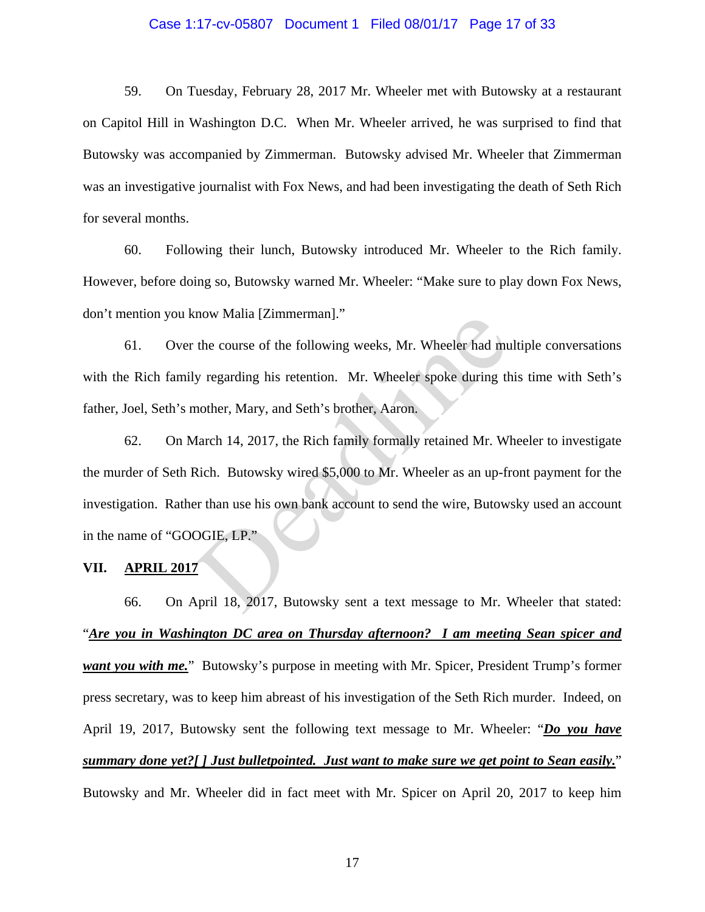### Case 1:17-cv-05807 Document 1 Filed 08/01/17 Page 17 of 33

59. On Tuesday, February 28, 2017 Mr. Wheeler met with Butowsky at a restaurant on Capitol Hill in Washington D.C. When Mr. Wheeler arrived, he was surprised to find that Butowsky was accompanied by Zimmerman. Butowsky advised Mr. Wheeler that Zimmerman was an investigative journalist with Fox News, and had been investigating the death of Seth Rich for several months.

60. Following their lunch, Butowsky introduced Mr. Wheeler to the Rich family. However, before doing so, Butowsky warned Mr. Wheeler: "Make sure to play down Fox News, don't mention you know Malia [Zimmerman]."

61. Over the course of the following weeks, Mr. Wheeler had multiple conversations with the Rich family regarding his retention. Mr. Wheeler spoke during this time with Seth's father, Joel, Seth's mother, Mary, and Seth's brother, Aaron.

62. On March 14, 2017, the Rich family formally retained Mr. Wheeler to investigate the murder of Seth Rich. Butowsky wired \$5,000 to Mr. Wheeler as an up-front payment for the investigation. Rather than use his own bank account to send the wire, Butowsky used an account in the name of "GOOGIE, LP." The course of the following weeks, Mr. Wheeler had muy regarding his retention. Mr. Wheeler spoke during the mother, Mary, and Seth's brother, Aaron.<br>The March 14, 2017, the Rich family formally retained Mr. Wikich. Butows

#### **VII. APRIL 2017**

66. On April 18, 2017, Butowsky sent a text message to Mr. Wheeler that stated: "*Are you in Washington DC area on Thursday afternoon? I am meeting Sean spicer and want you with me.*" Butowsky's purpose in meeting with Mr. Spicer, President Trump's former press secretary, was to keep him abreast of his investigation of the Seth Rich murder. Indeed, on April 19, 2017, Butowsky sent the following text message to Mr. Wheeler: "*Do you have summary done yet?[ ] Just bulletpointed. Just want to make sure we get point to Sean easily.*" Butowsky and Mr. Wheeler did in fact meet with Mr. Spicer on April 20, 2017 to keep him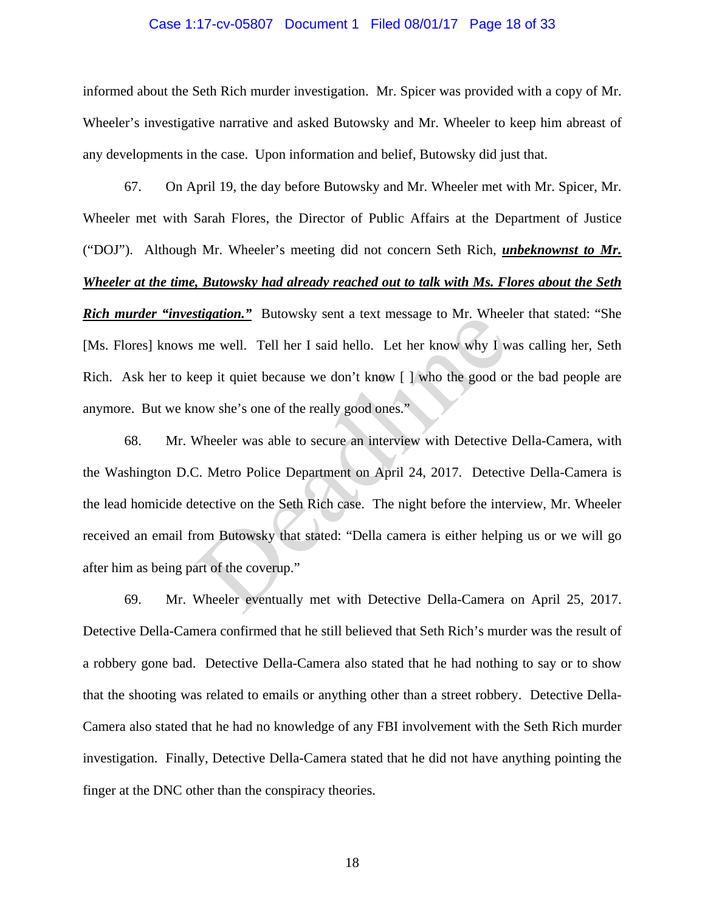### Case 1:17-cv-05807 Document 1 Filed 08/01/17 Page 18 of 33

informed about the Seth Rich murder investigation. Mr. Spicer was provided with a copy of Mr. Wheeler's investigative narrative and asked Butowsky and Mr. Wheeler to keep him abreast of any developments in the case. Upon information and belief, Butowsky did just that.

67. On April 19, the day before Butowsky and Mr. Wheeler met with Mr. Spicer, Mr. Wheeler met with Sarah Flores, the Director of Public Affairs at the Department of Justice ("DOJ"). Although Mr. Wheeler's meeting did not concern Seth Rich, *unbeknownst to Mr. Wheeler at the time, Butowsky had already reached out to talk with Ms. Flores about the Seth Rich murder "investigation."* Butowsky sent a text message to Mr. Wheeler that stated: "She [Ms. Flores] knows me well. Tell her I said hello. Let her know why I was calling her, Seth Rich. Ask her to keep it quiet because we don't know [ ] who the good or the bad people are anymore. But we know she's one of the really good ones."

68. Mr. Wheeler was able to secure an interview with Detective Della-Camera, with the Washington D.C. Metro Police Department on April 24, 2017. Detective Della-Camera is the lead homicide detective on the Seth Rich case. The night before the interview, Mr. Wheeler received an email from Butowsky that stated: "Della camera is either helping us or we will go after him as being part of the coverup." Internal Bureaux and Text Inessage to M. Where<br>
me well. Tell her I said hello. Let her know why I w<br>
eep it quiet because we don't know [] who the good or<br>
now she's one of the really good ones."<br>
Wheeler was able to secu

69. Mr. Wheeler eventually met with Detective Della-Camera on April 25, 2017. Detective Della-Camera confirmed that he still believed that Seth Rich's murder was the result of a robbery gone bad. Detective Della-Camera also stated that he had nothing to say or to show that the shooting was related to emails or anything other than a street robbery. Detective Della-Camera also stated that he had no knowledge of any FBI involvement with the Seth Rich murder investigation. Finally, Detective Della-Camera stated that he did not have anything pointing the finger at the DNC other than the conspiracy theories.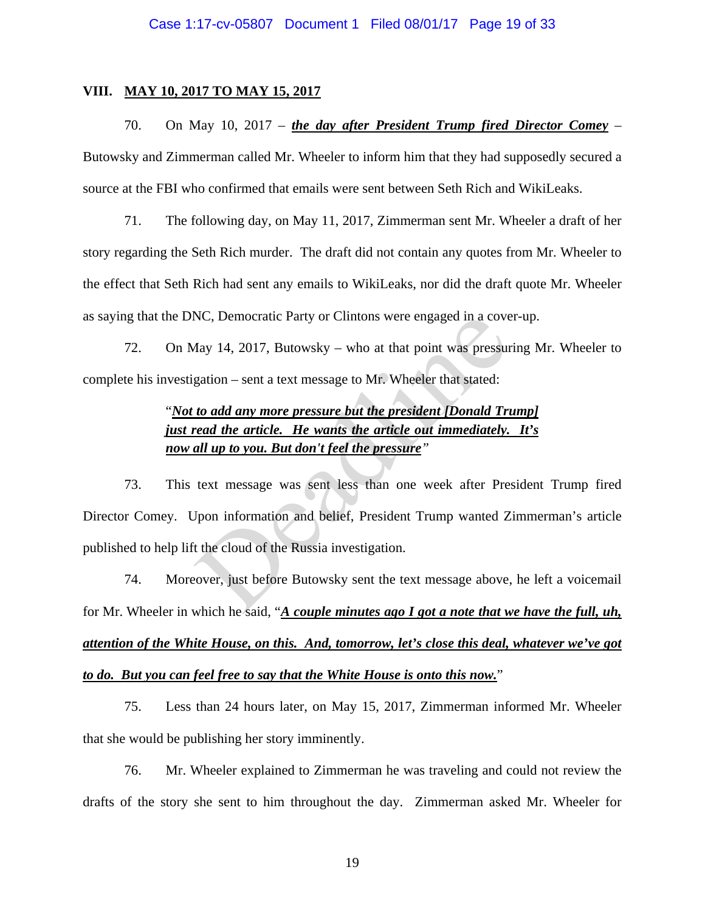### **VIII. MAY 10, 2017 TO MAY 15, 2017**

70. On May 10, 2017 – *the day after President Trump fired Director Comey* – Butowsky and Zimmerman called Mr. Wheeler to inform him that they had supposedly secured a source at the FBI who confirmed that emails were sent between Seth Rich and WikiLeaks.

71. The following day, on May 11, 2017, Zimmerman sent Mr. Wheeler a draft of her story regarding the Seth Rich murder. The draft did not contain any quotes from Mr. Wheeler to the effect that Seth Rich had sent any emails to WikiLeaks, nor did the draft quote Mr. Wheeler as saying that the DNC, Democratic Party or Clintons were engaged in a cover-up.

72. On May 14, 2017, Butowsky – who at that point was pressuring Mr. Wheeler to complete his investigation – sent a text message to Mr. Wheeler that stated:

# "*Not to add any more pressure but the president [Donald Trump] just read the article. He wants the article out immediately. It's now all up to you. But don't feel the pressure"*

73. This text message was sent less than one week after President Trump fired Director Comey. Upon information and belief, President Trump wanted Zimmerman's article published to help lift the cloud of the Russia investigation. NC, Democratic Party or Clintons were engaged in a cove<br>
Aay 14, 2017, Butowsky – who at that point was pressure<br>
gation – sent a text message to Mr. Wheeler that stated:<br>
to add any more pressure but the president [Donald

74. Moreover, just before Butowsky sent the text message above, he left a voicemail for Mr. Wheeler in which he said, "*A couple minutes ago I got a note that we have the full, uh, attention of the White House, on this. And, tomorrow, let's close this deal, whatever we've got to do. But you can feel free to say that the White House is onto this now.*"

75. Less than 24 hours later, on May 15, 2017, Zimmerman informed Mr. Wheeler that she would be publishing her story imminently.

76. Mr. Wheeler explained to Zimmerman he was traveling and could not review the drafts of the story she sent to him throughout the day. Zimmerman asked Mr. Wheeler for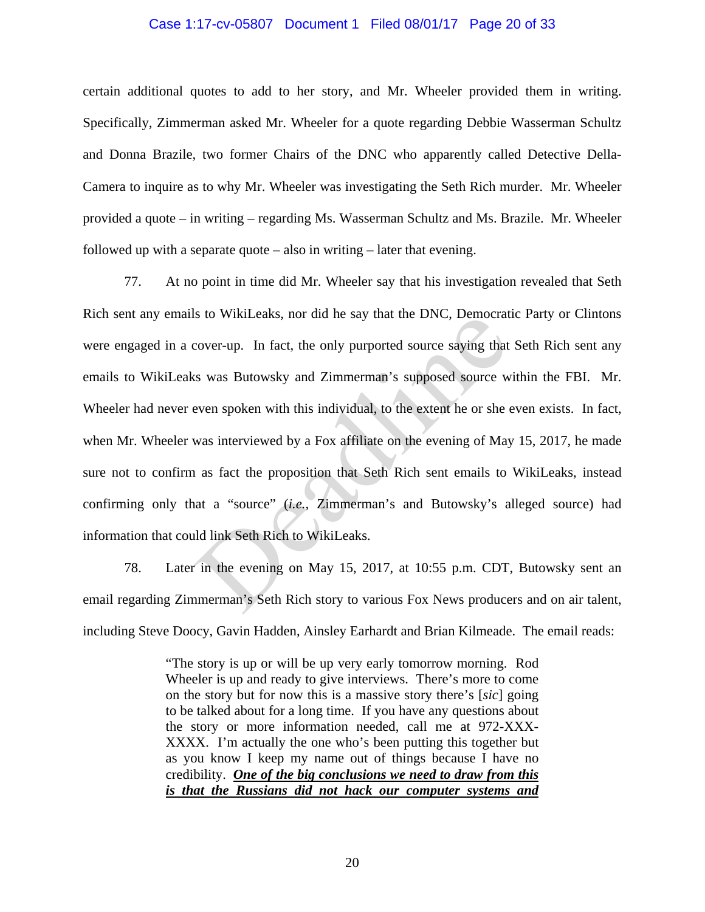#### Case 1:17-cv-05807 Document 1 Filed 08/01/17 Page 20 of 33

certain additional quotes to add to her story, and Mr. Wheeler provided them in writing. Specifically, Zimmerman asked Mr. Wheeler for a quote regarding Debbie Wasserman Schultz and Donna Brazile, two former Chairs of the DNC who apparently called Detective Della-Camera to inquire as to why Mr. Wheeler was investigating the Seth Rich murder. Mr. Wheeler provided a quote – in writing – regarding Ms. Wasserman Schultz and Ms. Brazile. Mr. Wheeler followed up with a separate quote – also in writing – later that evening.

77. At no point in time did Mr. Wheeler say that his investigation revealed that Seth Rich sent any emails to WikiLeaks, nor did he say that the DNC, Democratic Party or Clintons were engaged in a cover-up. In fact, the only purported source saying that Seth Rich sent any emails to WikiLeaks was Butowsky and Zimmerman's supposed source within the FBI. Mr. Wheeler had never even spoken with this individual, to the extent he or she even exists. In fact, when Mr. Wheeler was interviewed by a Fox affiliate on the evening of May 15, 2017, he made sure not to confirm as fact the proposition that Seth Rich sent emails to WikiLeaks, instead confirming only that a "source" (*i.e.*, Zimmerman's and Butowsky's alleged source) had information that could link Seth Rich to WikiLeaks. STO WIKILERT TO THE SAY that the DNC, Democrate cover-up. In fact, the only purported source saying that as was Butowsky and Zimmerman's supposed source we seven spoken with this individual, to the extent he or she was int

78. Later in the evening on May 15, 2017, at 10:55 p.m. CDT, Butowsky sent an email regarding Zimmerman's Seth Rich story to various Fox News producers and on air talent, including Steve Doocy, Gavin Hadden, Ainsley Earhardt and Brian Kilmeade. The email reads:

> "The story is up or will be up very early tomorrow morning. Rod Wheeler is up and ready to give interviews. There's more to come on the story but for now this is a massive story there's [*sic*] going to be talked about for a long time. If you have any questions about the story or more information needed, call me at 972-XXX-XXXX. I'm actually the one who's been putting this together but as you know I keep my name out of things because I have no credibility. *One of the big conclusions we need to draw from this is that the Russians did not hack our computer systems and*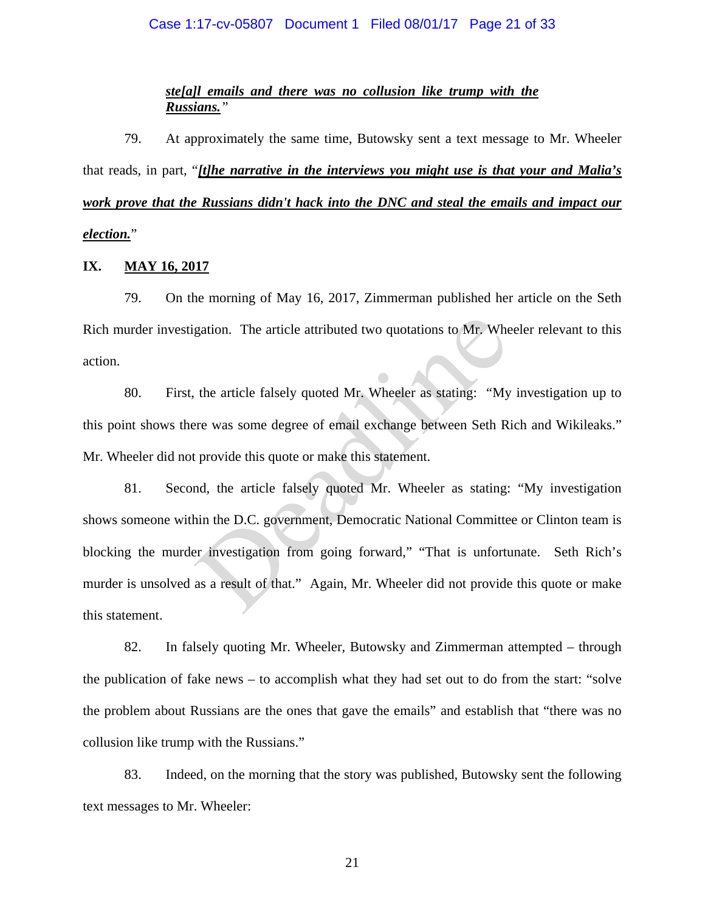### Case 1:17-cv-05807 Document 1 Filed 08/01/17 Page 21 of 33

## *ste[a]l emails and there was no collusion like trump with the Russians."*

79. At approximately the same time, Butowsky sent a text message to Mr. Wheeler that reads, in part, "*[t]he narrative in the interviews you might use is that your and Malia's work prove that the Russians didn't hack into the DNC and steal the emails and impact our election.*"

## **IX. MAY 16, 2017**

79. On the morning of May 16, 2017, Zimmerman published her article on the Seth Rich murder investigation. The article attributed two quotations to Mr. Wheeler relevant to this action.

80. First, the article falsely quoted Mr. Wheeler as stating: "My investigation up to this point shows there was some degree of email exchange between Seth Rich and Wikileaks." Mr. Wheeler did not provide this quote or make this statement.

81. Second, the article falsely quoted Mr. Wheeler as stating: "My investigation shows someone within the D.C. government, Democratic National Committee or Clinton team is blocking the murder investigation from going forward," "That is unfortunate. Seth Rich's murder is unsolved as a result of that." Again, Mr. Wheeler did not provide this quote or make this statement. gation. The article attributed two quotations to Mr. Where<br>the article falsely quoted Mr. Wheeler as stating: "My<br>rere was some degree of email exchange between Seth R:<br>provide this quote or make this statement.<br>and, the a

82. In falsely quoting Mr. Wheeler, Butowsky and Zimmerman attempted – through the publication of fake news – to accomplish what they had set out to do from the start: "solve the problem about Russians are the ones that gave the emails" and establish that "there was no collusion like trump with the Russians."

83. Indeed, on the morning that the story was published, Butowsky sent the following text messages to Mr. Wheeler: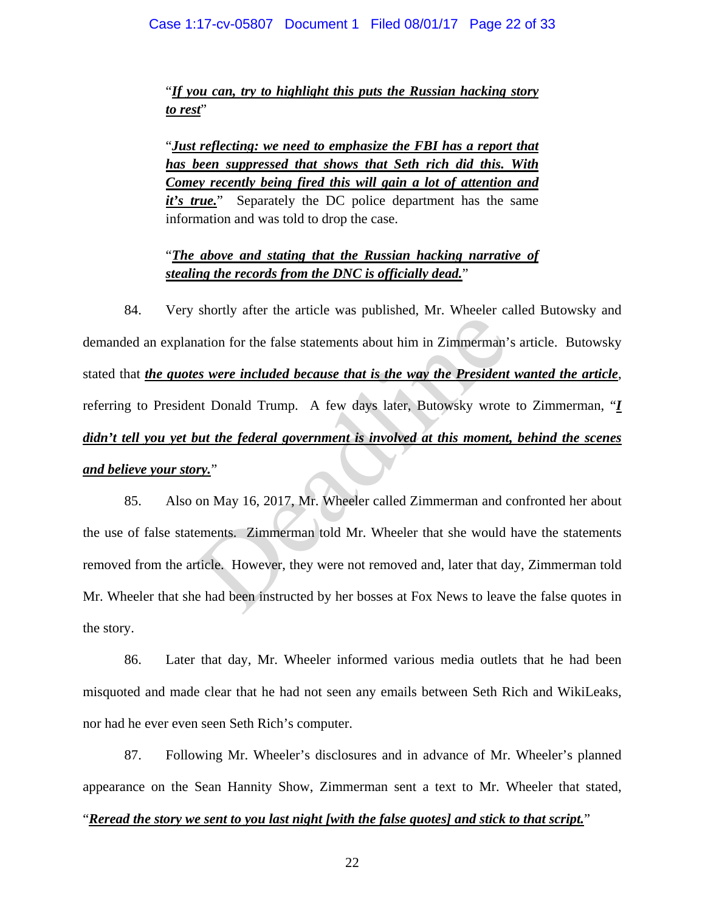"*If you can, try to highlight this puts the Russian hacking story*  to rest"

"*Just reflecting: we need to emphasize the FBI has a report that has been suppressed that shows that Seth rich did this. With Comey recently being fired this will gain a lot of attention and*  it's true." Separately the DC police department has the same information and was told to drop the case.

# "*The above and stating that the Russian hacking narrative of stealing the records from the DNC is officially dead.*"

84. Very shortly after the article was published, Mr. Wheeler called Butowsky and demanded an explanation for the false statements about him in Zimmerman's article. Butowsky stated that *the quotes were included because that is the way the President wanted the article*, referring to President Donald Trump. A few days later, Butowsky wrote to Zimmerman, "*I didn't tell you yet but the federal government is involved at this moment, behind the scenes and believe your story.*" example in the duties was published, the window of the false statements about him in Zimmerman'<br>
se were included because that is the way the President<br>
nt Donald Trump. A few days later, Butowsky wrote<br>
but the federal go

85. Also on May 16, 2017, Mr. Wheeler called Zimmerman and confronted her about the use of false statements. Zimmerman told Mr. Wheeler that she would have the statements removed from the article. However, they were not removed and, later that day, Zimmerman told Mr. Wheeler that she had been instructed by her bosses at Fox News to leave the false quotes in the story.

86. Later that day, Mr. Wheeler informed various media outlets that he had been misquoted and made clear that he had not seen any emails between Seth Rich and WikiLeaks, nor had he ever even seen Seth Rich's computer.

87. Following Mr. Wheeler's disclosures and in advance of Mr. Wheeler's planned appearance on the Sean Hannity Show, Zimmerman sent a text to Mr. Wheeler that stated,

## "*Reread the story we sent to you last night [with the false quotes] and stick to that script.*"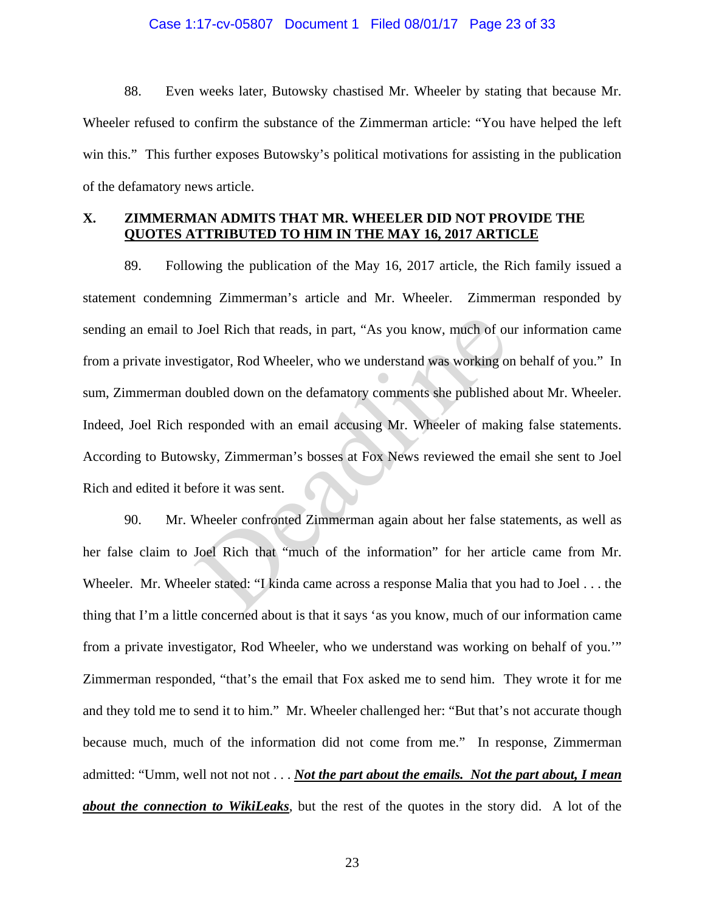### Case 1:17-cv-05807 Document 1 Filed 08/01/17 Page 23 of 33

88. Even weeks later, Butowsky chastised Mr. Wheeler by stating that because Mr. Wheeler refused to confirm the substance of the Zimmerman article: "You have helped the left win this." This further exposes Butowsky's political motivations for assisting in the publication of the defamatory news article.

## **X. ZIMMERMAN ADMITS THAT MR. WHEELER DID NOT PROVIDE THE QUOTES ATTRIBUTED TO HIM IN THE MAY 16, 2017 ARTICLE**

89. Following the publication of the May 16, 2017 article, the Rich family issued a statement condemning Zimmerman's article and Mr. Wheeler. Zimmerman responded by sending an email to Joel Rich that reads, in part, "As you know, much of our information came from a private investigator, Rod Wheeler, who we understand was working on behalf of you." In sum, Zimmerman doubled down on the defamatory comments she published about Mr. Wheeler. Indeed, Joel Rich responded with an email accusing Mr. Wheeler of making false statements. According to Butowsky, Zimmerman's bosses at Fox News reviewed the email she sent to Joel Rich and edited it before it was sent. Joel Rich that reads, in part, "As you know, much of outigator, Rod Wheeler, who we understand was working on bubled down on the defamatory comments she published esponded with an email accusing Mr. Wheeler of making wisky

90. Mr. Wheeler confronted Zimmerman again about her false statements, as well as her false claim to Joel Rich that "much of the information" for her article came from Mr. Wheeler. Mr. Wheeler stated: "I kinda came across a response Malia that you had to Joel . . . the thing that I'm a little concerned about is that it says 'as you know, much of our information came from a private investigator, Rod Wheeler, who we understand was working on behalf of you.'" Zimmerman responded, "that's the email that Fox asked me to send him. They wrote it for me and they told me to send it to him." Mr. Wheeler challenged her: "But that's not accurate though because much, much of the information did not come from me." In response, Zimmerman admitted: "Umm, well not not not . . . *Not the part about the emails. Not the part about, I mean about the connection to WikiLeaks*, but the rest of the quotes in the story did. A lot of the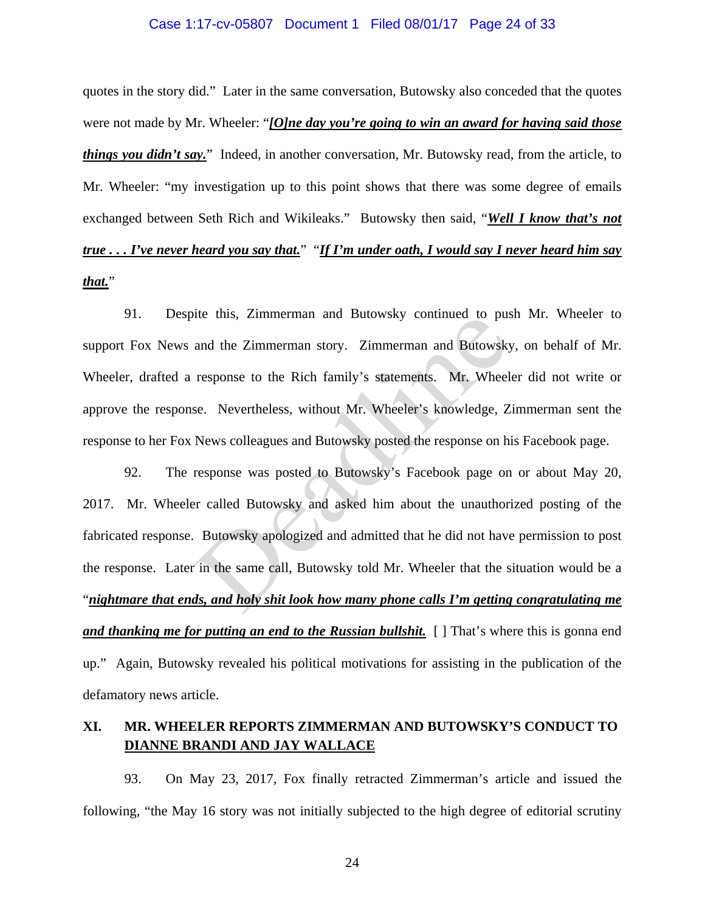### Case 1:17-cv-05807 Document 1 Filed 08/01/17 Page 24 of 33

quotes in the story did." Later in the same conversation, Butowsky also conceded that the quotes were not made by Mr. Wheeler: "*[O]ne day you're going to win an award for having said those things you didn't say.*" Indeed, in another conversation, Mr. Butowsky read, from the article, to Mr. Wheeler: "my investigation up to this point shows that there was some degree of emails exchanged between Seth Rich and Wikileaks." Butowsky then said, "*Well I know that's not true . . . I've never heard you say that.*" "*If I'm under oath, I would say I never heard him say that.*"

91. Despite this, Zimmerman and Butowsky continued to push Mr. Wheeler to support Fox News and the Zimmerman story. Zimmerman and Butowsky, on behalf of Mr. Wheeler, drafted a response to the Rich family's statements. Mr. Wheeler did not write or approve the response. Nevertheless, without Mr. Wheeler's knowledge, Zimmerman sent the response to her Fox News colleagues and Butowsky posted the response on his Facebook page.

92. The response was posted to Butowsky's Facebook page on or about May 20, 2017. Mr. Wheeler called Butowsky and asked him about the unauthorized posting of the fabricated response. Butowsky apologized and admitted that he did not have permission to post the response. Later in the same call, Butowsky told Mr. Wheeler that the situation would be a "*nightmare that ends, and holy shit look how many phone calls I'm getting congratulating me and thanking me for putting an end to the Russian bullshit.* [ ] That's where this is gonna end up." Again, Butowsky revealed his political motivations for assisting in the publication of the defamatory news article. the tins, Zimmerman and Butowsky continued to pus<br>and the Zimmerman story. Zimmerman and Butowsky<br>response to the Rich family's statements. Mr. Wheel<br>se. Nevertheless, without Mr. Wheeler's knowledge, Z<br>News colleagues and

# **XI. MR. WHEELER REPORTS ZIMMERMAN AND BUTOWSKY'S CONDUCT TO DIANNE BRANDI AND JAY WALLACE**

93. On May 23, 2017, Fox finally retracted Zimmerman's article and issued the following, "the May 16 story was not initially subjected to the high degree of editorial scrutiny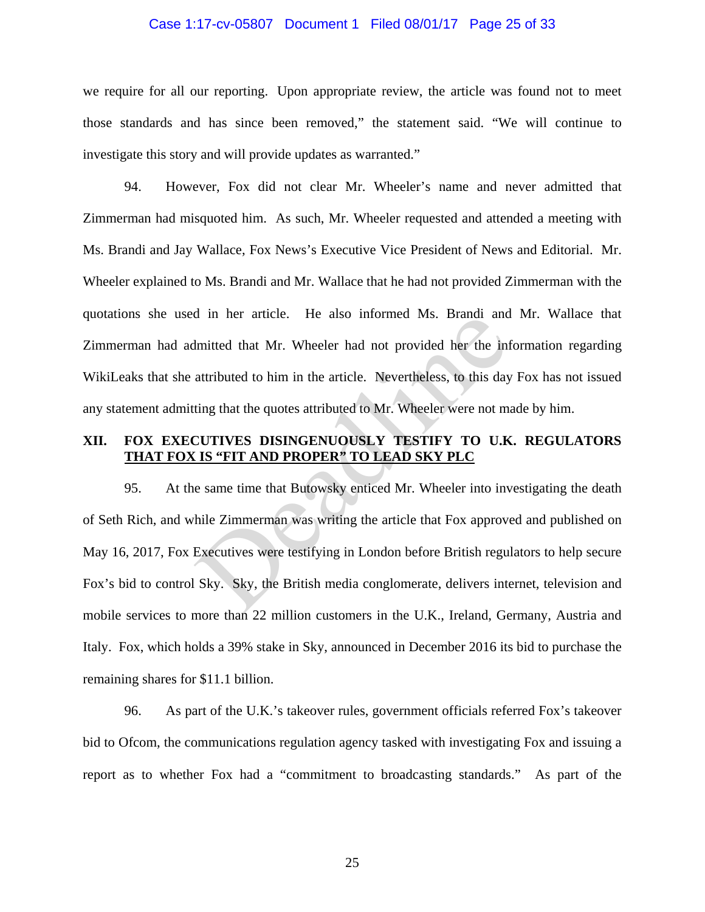### Case 1:17-cv-05807 Document 1 Filed 08/01/17 Page 25 of 33

we require for all our reporting. Upon appropriate review, the article was found not to meet those standards and has since been removed," the statement said. "We will continue to investigate this story and will provide updates as warranted."

94. However, Fox did not clear Mr. Wheeler's name and never admitted that Zimmerman had misquoted him. As such, Mr. Wheeler requested and attended a meeting with Ms. Brandi and Jay Wallace, Fox News's Executive Vice President of News and Editorial. Mr. Wheeler explained to Ms. Brandi and Mr. Wallace that he had not provided Zimmerman with the quotations she used in her article. He also informed Ms. Brandi and Mr. Wallace that Zimmerman had admitted that Mr. Wheeler had not provided her the information regarding WikiLeaks that she attributed to him in the article. Nevertheless, to this day Fox has not issued any statement admitting that the quotes attributed to Mr. Wheeler were not made by him.

## **XII. FOX EXECUTIVES DISINGENUOUSLY TESTIFY TO U.K. REGULATORS THAT FOX IS "FIT AND PROPER" TO LEAD SKY PLC**

95. At the same time that Butowsky enticed Mr. Wheeler into investigating the death of Seth Rich, and while Zimmerman was writing the article that Fox approved and published on May 16, 2017, Fox Executives were testifying in London before British regulators to help secure Fox's bid to control Sky. Sky, the British media conglomerate, delivers internet, television and mobile services to more than 22 million customers in the U.K., Ireland, Germany, Austria and Italy. Fox, which holds a 39% stake in Sky, announced in December 2016 its bid to purchase the remaining shares for \$11.1 billion. In the anticle. The also informed Ms. Brandt and<br>Imitted that Mr. Wheeler had not provided her the inf<br>attributed to him in the article. Nevertheless, to this day<br>ting that the quotes attributed to Mr. Wheeler were not me<br>

96. As part of the U.K.'s takeover rules, government officials referred Fox's takeover bid to Ofcom, the communications regulation agency tasked with investigating Fox and issuing a report as to whether Fox had a "commitment to broadcasting standards." As part of the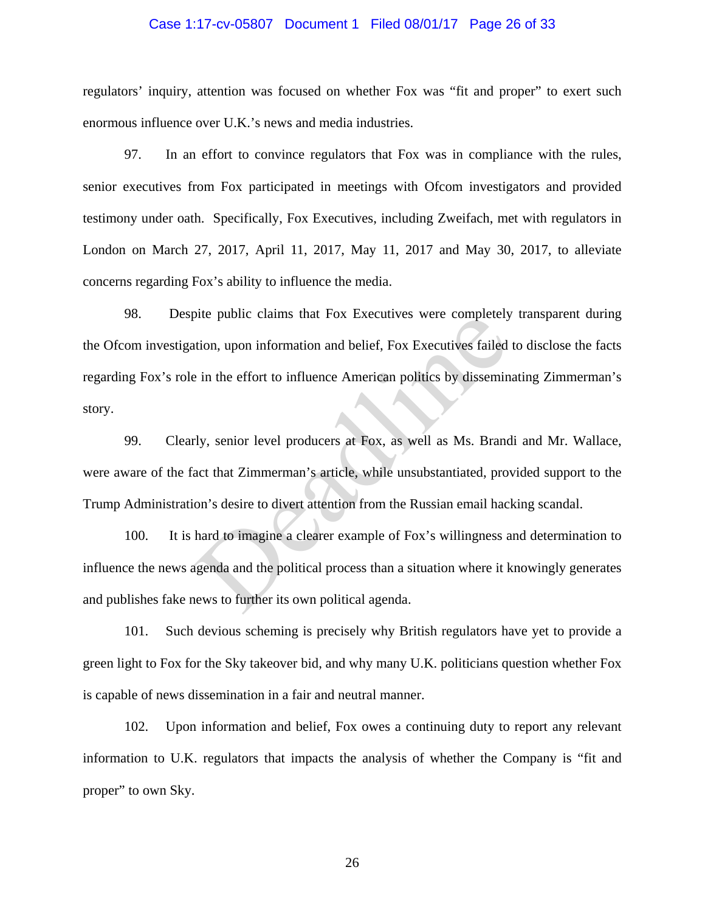### Case 1:17-cv-05807 Document 1 Filed 08/01/17 Page 26 of 33

regulators' inquiry, attention was focused on whether Fox was "fit and proper" to exert such enormous influence over U.K.'s news and media industries.

97. In an effort to convince regulators that Fox was in compliance with the rules, senior executives from Fox participated in meetings with Ofcom investigators and provided testimony under oath. Specifically, Fox Executives, including Zweifach, met with regulators in London on March 27, 2017, April 11, 2017, May 11, 2017 and May 30, 2017, to alleviate concerns regarding Fox's ability to influence the media.

98. Despite public claims that Fox Executives were completely transparent during the Ofcom investigation, upon information and belief, Fox Executives failed to disclose the facts regarding Fox's role in the effort to influence American politics by disseminating Zimmerman's story. The public claims that Fox Executives were completely<br>tion, upon information and belief, Fox Executives failed<br>in the effort to influence American politics by dissemin<br>rly, senior level producers at Fox, as well as Ms. Bra

99. Clearly, senior level producers at Fox, as well as Ms. Brandi and Mr. Wallace, were aware of the fact that Zimmerman's article, while unsubstantiated, provided support to the Trump Administration's desire to divert attention from the Russian email hacking scandal.

100. It is hard to imagine a clearer example of Fox's willingness and determination to influence the news agenda and the political process than a situation where it knowingly generates and publishes fake news to further its own political agenda.

101. Such devious scheming is precisely why British regulators have yet to provide a green light to Fox for the Sky takeover bid, and why many U.K. politicians question whether Fox is capable of news dissemination in a fair and neutral manner.

102. Upon information and belief, Fox owes a continuing duty to report any relevant information to U.K. regulators that impacts the analysis of whether the Company is "fit and proper" to own Sky.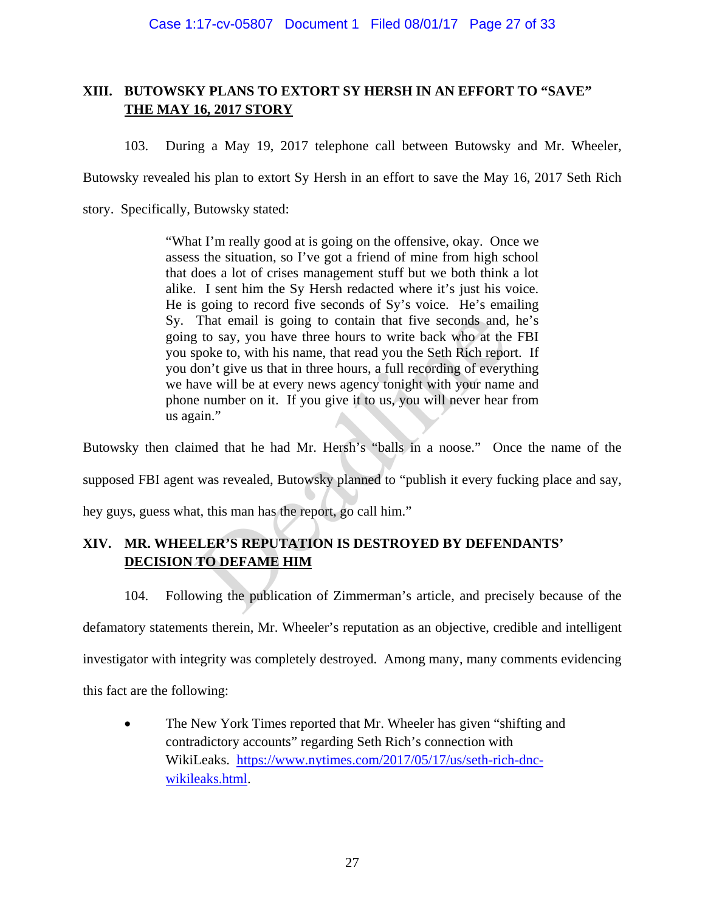# **XIII. BUTOWSKY PLANS TO EXTORT SY HERSH IN AN EFFORT TO "SAVE" THE MAY 16, 2017 STORY**

103. During a May 19, 2017 telephone call between Butowsky and Mr. Wheeler,

Butowsky revealed his plan to extort Sy Hersh in an effort to save the May 16, 2017 Seth Rich

story. Specifically, Butowsky stated:

"What I'm really good at is going on the offensive, okay. Once we assess the situation, so I've got a friend of mine from high school that does a lot of crises management stuff but we both think a lot alike. I sent him the Sy Hersh redacted where it's just his voice. He is going to record five seconds of Sy's voice. He's emailing Sy. That email is going to contain that five seconds and, he's going to say, you have three hours to write back who at the FBI you spoke to, with his name, that read you the Seth Rich report. If you don't give us that in three hours, a full recording of everything we have will be at every news agency tonight with your name and phone number on it. If you give it to us, you will never hear from us again." That email is going to contain that five seconds and,<br>the say, you have three hours to write back who at the<br>spoke to, with his name, that read you the Seth Rich repo-<br>don't give us that in three hours, a full recording of

Butowsky then claimed that he had Mr. Hersh's "balls in a noose." Once the name of the

supposed FBI agent was revealed, Butowsky planned to "publish it every fucking place and say,

hey guys, guess what, this man has the report, go call him."

# **XIV. MR. WHEELER'S REPUTATION IS DESTROYED BY DEFENDANTS' DECISION TO DEFAME HIM**

104. Following the publication of Zimmerman's article, and precisely because of the

defamatory statements therein, Mr. Wheeler's reputation as an objective, credible and intelligent

investigator with integrity was completely destroyed. Among many, many comments evidencing

this fact are the following:

 The New York Times reported that Mr. Wheeler has given "shifting and contradictory accounts" regarding Seth Rich's connection with WikiLeaks. https://www.nytimes.com/2017/05/17/us/seth-rich-dncwikileaks.html.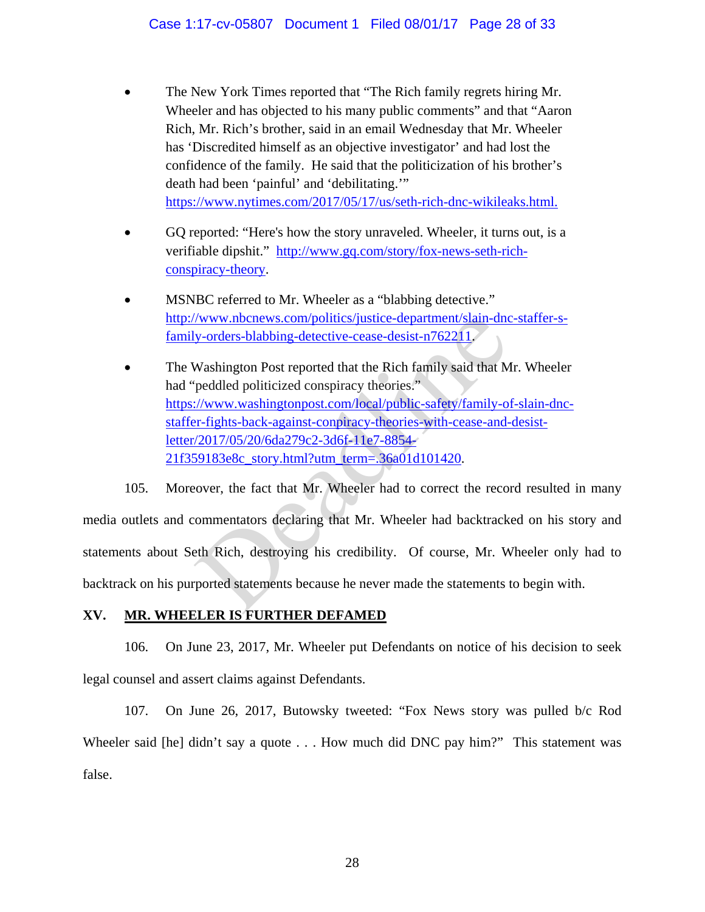- The New York Times reported that "The Rich family regrets hiring Mr. Wheeler and has objected to his many public comments" and that "Aaron Rich, Mr. Rich's brother, said in an email Wednesday that Mr. Wheeler has 'Discredited himself as an objective investigator' and had lost the confidence of the family. He said that the politicization of his brother's death had been 'painful' and 'debilitating.'" https://www.nytimes.com/2017/05/17/us/seth-rich-dnc-wikileaks.html.
- GQ reported: "Here's how the story unraveled. Wheeler, it turns out, is a verifiable dipshit." http://www.gq.com/story/fox-news-seth-richconspiracy-theory.
- MSNBC referred to Mr. Wheeler as a "blabbing detective." http://www.nbcnews.com/politics/justice-department/slain-dnc-staffer-sfamily-orders-blabbing-detective-cease-desist-n762211.
- The Washington Post reported that the Rich family said that Mr. Wheeler had "peddled politicized conspiracy theories." https://www.washingtonpost.com/local/public-safety/family-of-slain-dncstaffer-fights-back-against-conpiracy-theories-with-cease-and-desistletter/2017/05/20/6da279c2-3d6f-11e7-8854- 21f359183e8c\_story.html?utm\_term=.36a01d101420.

105. Moreover, the fact that Mr. Wheeler had to correct the record resulted in many media outlets and commentators declaring that Mr. Wheeler had backtracked on his story and statements about Seth Rich, destroying his credibility. Of course, Mr. Wheeler only had to backtrack on his purported statements because he never made the statements to begin with. www.nbcnews.com/politics/justice-department/slain-dnc<br>y-orders-blabbing-detective-cease-desist-n762211.<br>Washington Post reported that the Rich family said that M<br>peddled politicized conspiracy theories."<br>Example 1.1. Www.w

# **XV. MR. WHEELER IS FURTHER DEFAMED**

106. On June 23, 2017, Mr. Wheeler put Defendants on notice of his decision to seek legal counsel and assert claims against Defendants.

107. On June 26, 2017, Butowsky tweeted: "Fox News story was pulled b/c Rod Wheeler said [he] didn't say a quote . . . How much did DNC pay him?" This statement was false.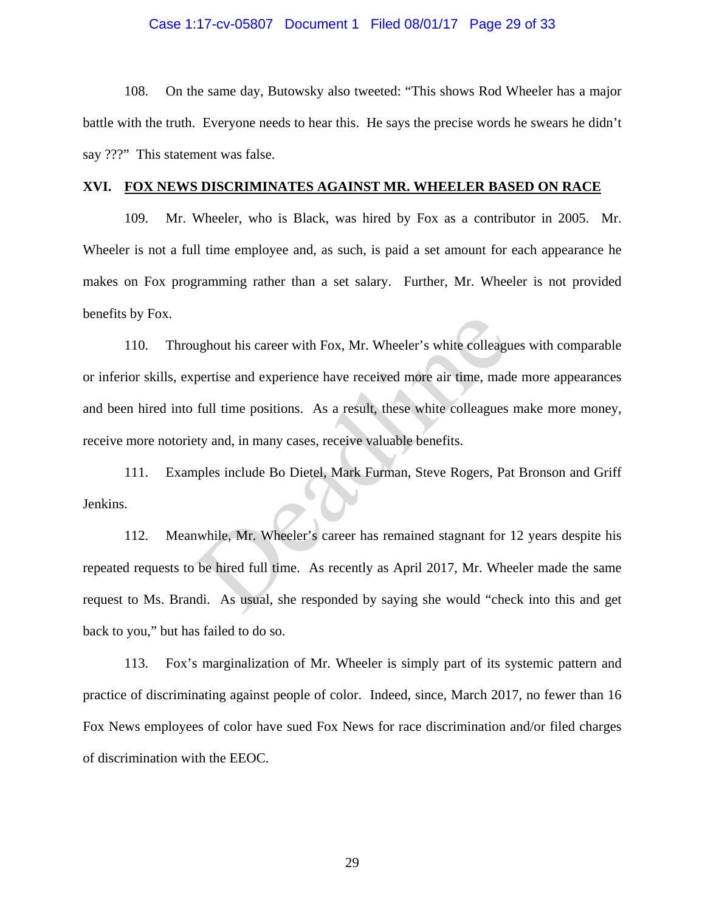#### Case 1:17-cv-05807 Document 1 Filed 08/01/17 Page 29 of 33

108. On the same day, Butowsky also tweeted: "This shows Rod Wheeler has a major battle with the truth. Everyone needs to hear this. He says the precise words he swears he didn't say ???" This statement was false.

#### **XVI. FOX NEWS DISCRIMINATES AGAINST MR. WHEELER BASED ON RACE**

109. Mr. Wheeler, who is Black, was hired by Fox as a contributor in 2005. Mr. Wheeler is not a full time employee and, as such, is paid a set amount for each appearance he makes on Fox programming rather than a set salary. Further, Mr. Wheeler is not provided benefits by Fox.

110. Throughout his career with Fox, Mr. Wheeler's white colleagues with comparable or inferior skills, expertise and experience have received more air time, made more appearances and been hired into full time positions. As a result, these white colleagues make more money, receive more notoriety and, in many cases, receive valuable benefits. ughout his career with Fox, Mr. Wheeler's white colleague<br>pertise and experience have received more air time, mad<br>full time positions. As a result, these white colleagues<br>ety and, in many cases, receive valuable benefits.<br>

111. Examples include Bo Dietel, Mark Furman, Steve Rogers, Pat Bronson and Griff Jenkins.

112. Meanwhile, Mr. Wheeler's career has remained stagnant for 12 years despite his repeated requests to be hired full time. As recently as April 2017, Mr. Wheeler made the same request to Ms. Brandi. As usual, she responded by saying she would "check into this and get back to you," but has failed to do so.

113. Fox's marginalization of Mr. Wheeler is simply part of its systemic pattern and practice of discriminating against people of color. Indeed, since, March 2017, no fewer than 16 Fox News employees of color have sued Fox News for race discrimination and/or filed charges of discrimination with the EEOC.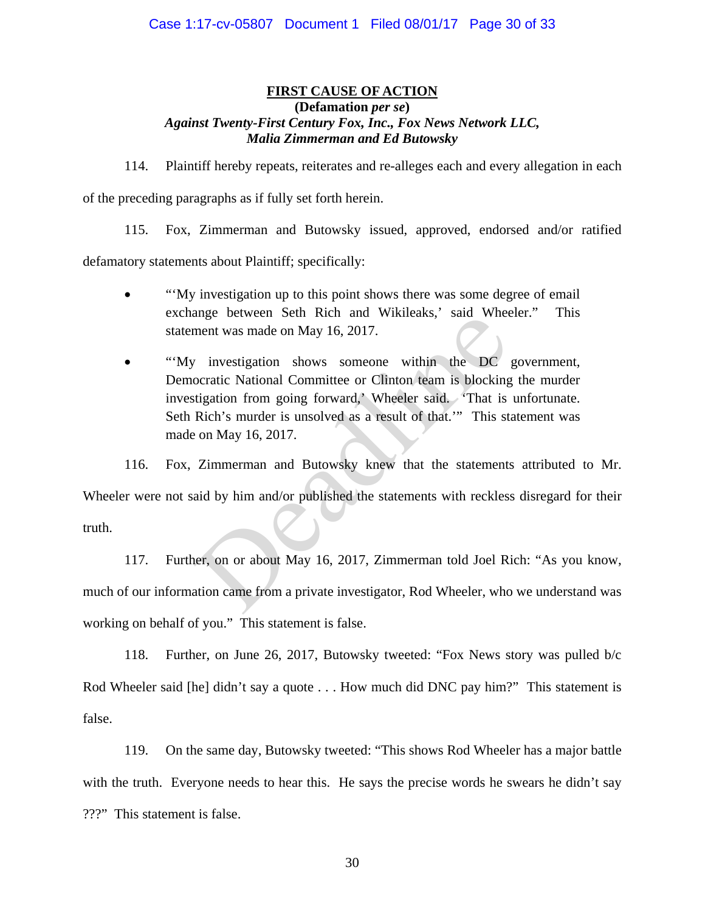## **FIRST CAUSE OF ACTION (Defamation** *per se***)**  *Against Twenty-First Century Fox, Inc., Fox News Network LLC, Malia Zimmerman and Ed Butowsky*

114. Plaintiff hereby repeats, reiterates and re-alleges each and every allegation in each of the preceding paragraphs as if fully set forth herein.

115. Fox, Zimmerman and Butowsky issued, approved, endorsed and/or ratified

defamatory statements about Plaintiff; specifically:

- "'My investigation up to this point shows there was some degree of email" exchange between Seth Rich and Wikileaks,' said Wheeler." This statement was made on May 16, 2017.
- "'My investigation shows someone within the DC government, Democratic National Committee or Clinton team is blocking the murder investigation from going forward,' Wheeler said. 'That is unfortunate. Seth Rich's murder is unsolved as a result of that.'" This statement was made on May 16, 2017. ment was made on May 16, 2017.<br>
investigation shows someone within the DC<br>
ocratic National Committee or Clinton team is blocking<br>
tigation from going forward,<sup>3</sup> Wheeler said. 'That is<br>
Rich's murder is unsolved as a resu

116. Fox, Zimmerman and Butowsky knew that the statements attributed to Mr.

Wheeler were not said by him and/or published the statements with reckless disregard for their truth.

117. Further, on or about May 16, 2017, Zimmerman told Joel Rich: "As you know, much of our information came from a private investigator, Rod Wheeler, who we understand was working on behalf of you." This statement is false.

118. Further, on June 26, 2017, Butowsky tweeted: "Fox News story was pulled b/c Rod Wheeler said [he] didn't say a quote . . . How much did DNC pay him?" This statement is false.

119. On the same day, Butowsky tweeted: "This shows Rod Wheeler has a major battle with the truth. Everyone needs to hear this. He says the precise words he swears he didn't say ???" This statement is false.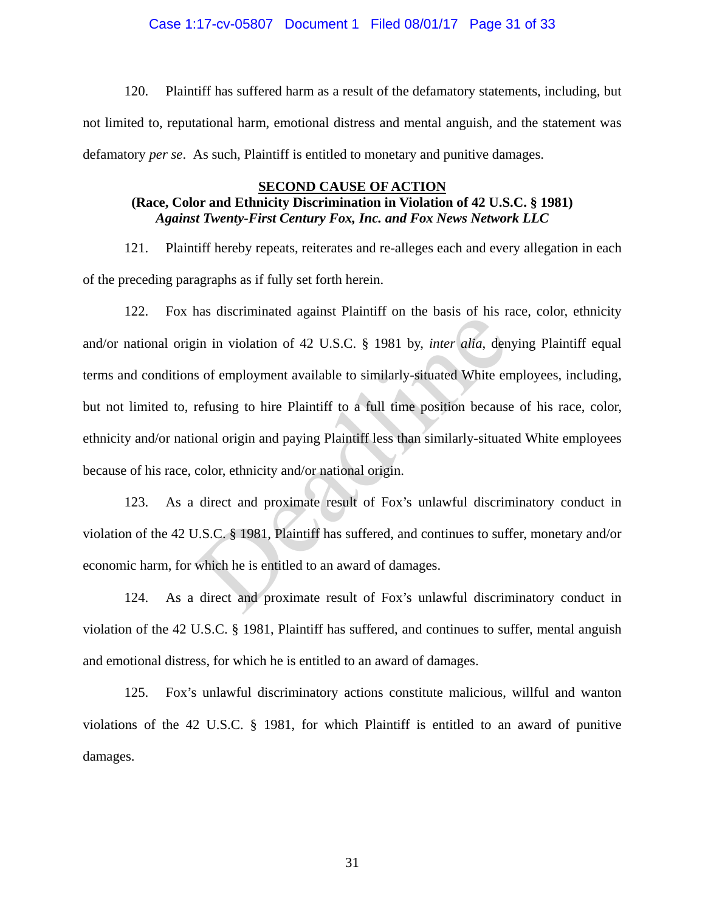### Case 1:17-cv-05807 Document 1 Filed 08/01/17 Page 31 of 33

120. Plaintiff has suffered harm as a result of the defamatory statements, including, but not limited to, reputational harm, emotional distress and mental anguish, and the statement was defamatory *per se*. As such, Plaintiff is entitled to monetary and punitive damages.

#### **SECOND CAUSE OF ACTION**

## **(Race, Color and Ethnicity Discrimination in Violation of 42 U.S.C. § 1981)**  *Against Twenty-First Century Fox, Inc. and Fox News Network LLC*

121. Plaintiff hereby repeats, reiterates and re-alleges each and every allegation in each of the preceding paragraphs as if fully set forth herein.

122. Fox has discriminated against Plaintiff on the basis of his race, color, ethnicity and/or national origin in violation of 42 U.S.C. § 1981 by, *inter alia*, denying Plaintiff equal terms and conditions of employment available to similarly-situated White employees, including, but not limited to, refusing to hire Plaintiff to a full time position because of his race, color, ethnicity and/or national origin and paying Plaintiff less than similarly-situated White employees because of his race, color, ethnicity and/or national origin. is understanding and the set of mix in the basis of mis is<br>in in violation of 42 U.S.C. § 1981 by, *inter alia*, den<br>s of employment available to similarly-situated White en<br>refusing to hire Plaintiff to a full time positi

123. As a direct and proximate result of Fox's unlawful discriminatory conduct in violation of the 42 U.S.C. § 1981, Plaintiff has suffered, and continues to suffer, monetary and/or economic harm, for which he is entitled to an award of damages.

124. As a direct and proximate result of Fox's unlawful discriminatory conduct in violation of the 42 U.S.C. § 1981, Plaintiff has suffered, and continues to suffer, mental anguish and emotional distress, for which he is entitled to an award of damages.

125. Fox's unlawful discriminatory actions constitute malicious, willful and wanton violations of the 42 U.S.C. § 1981, for which Plaintiff is entitled to an award of punitive damages.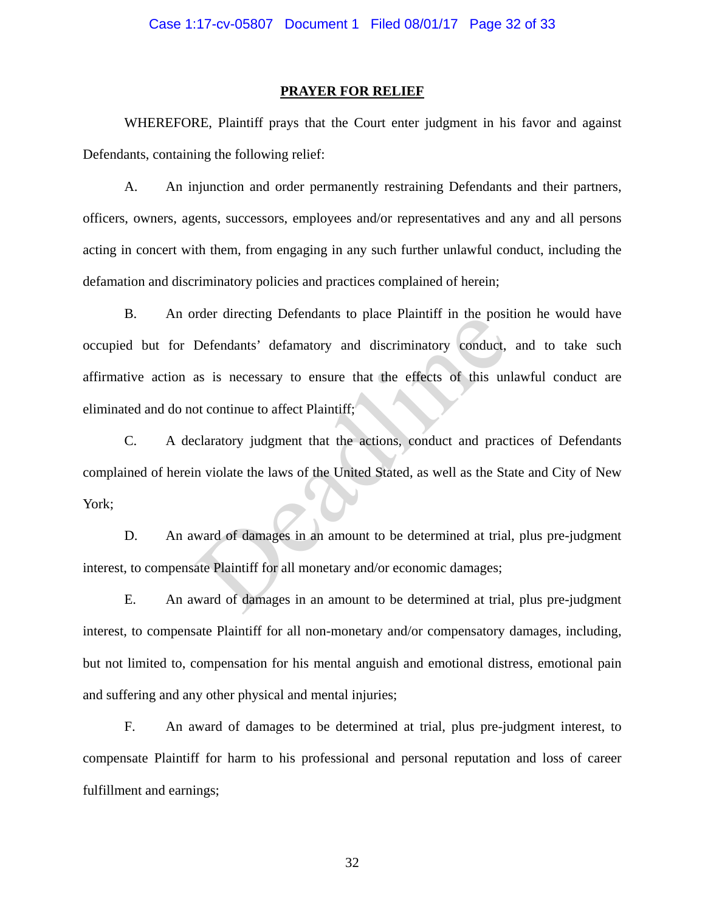#### **PRAYER FOR RELIEF**

WHEREFORE, Plaintiff prays that the Court enter judgment in his favor and against Defendants, containing the following relief:

A. An injunction and order permanently restraining Defendants and their partners, officers, owners, agents, successors, employees and/or representatives and any and all persons acting in concert with them, from engaging in any such further unlawful conduct, including the defamation and discriminatory policies and practices complained of herein;

B. An order directing Defendants to place Plaintiff in the position he would have occupied but for Defendants' defamatory and discriminatory conduct, and to take such affirmative action as is necessary to ensure that the effects of this unlawful conduct are eliminated and do not continue to affect Plaintiff; The directing Detendants to place Framini in the position<br>Defendants' defamatory and discriminatory conduct,<br>as is necessary to ensure that the effects of this un<br>ot continue to affect Plaintiff;<br>claratory judgment that th

C. A declaratory judgment that the actions, conduct and practices of Defendants complained of herein violate the laws of the United Stated, as well as the State and City of New York;

D. An award of damages in an amount to be determined at trial, plus pre-judgment interest, to compensate Plaintiff for all monetary and/or economic damages;

E. An award of damages in an amount to be determined at trial, plus pre-judgment interest, to compensate Plaintiff for all non-monetary and/or compensatory damages, including, but not limited to, compensation for his mental anguish and emotional distress, emotional pain and suffering and any other physical and mental injuries;

F. An award of damages to be determined at trial, plus pre-judgment interest, to compensate Plaintiff for harm to his professional and personal reputation and loss of career fulfillment and earnings;